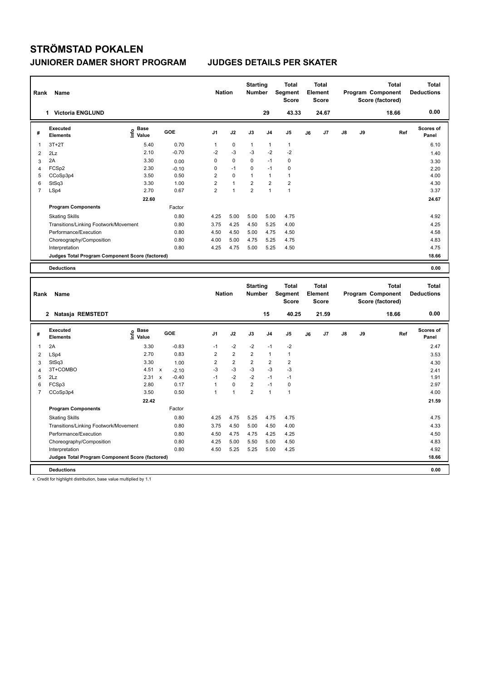| Rank           | Name                                            |                                  |         | <b>Nation</b>  |              | <b>Starting</b><br><b>Number</b> |                | <b>Total</b><br>Segment<br><b>Score</b> | <b>Total</b><br>Element<br>Score        |    |               | <b>Total</b><br>Program Component<br>Score (factored) | <b>Total</b><br><b>Deductions</b> |
|----------------|-------------------------------------------------|----------------------------------|---------|----------------|--------------|----------------------------------|----------------|-----------------------------------------|-----------------------------------------|----|---------------|-------------------------------------------------------|-----------------------------------|
|                | <b>Victoria ENGLUND</b><br>1.                   |                                  |         |                |              |                                  | 29             | 43.33                                   | 24.67                                   |    |               | 18.66                                                 | 0.00                              |
| #              | Executed<br><b>Elements</b>                     | <b>Base</b><br>e Base<br>⊆ Value | GOE     | J <sub>1</sub> | J2           | J3                               | J <sub>4</sub> | J <sub>5</sub>                          | J6                                      | J7 | $\mathsf{J}8$ | J9<br>Ref                                             | Scores of<br>Panel                |
| 1              | $3T+2T$                                         | 5.40                             | 0.70    | $\mathbf{1}$   | $\mathbf 0$  | $\mathbf{1}$                     | $\mathbf{1}$   | $\mathbf{1}$                            |                                         |    |               |                                                       | 6.10                              |
| 2              | 2Lz                                             | 2.10                             | $-0.70$ | $-2$           | $-3$         | $-3$                             | $-2$           | $-2$                                    |                                         |    |               |                                                       | 1.40                              |
| 3              | 2A                                              | 3.30                             | 0.00    | 0              | $\mathbf 0$  | 0                                | $-1$           | $\mathbf 0$                             |                                         |    |               |                                                       | 3.30                              |
| 4              | FCSp2                                           | 2.30                             | $-0.10$ | 0              | $-1$         | $\mathbf 0$                      | $-1$           | 0                                       |                                         |    |               |                                                       | 2.20                              |
| 5              | CCoSp3p4                                        | 3.50                             | 0.50    | 2              | $\mathbf 0$  | $\mathbf{1}$                     | $\mathbf{1}$   | $\mathbf{1}$                            |                                         |    |               |                                                       | 4.00                              |
| 6              | StSq3                                           | 3.30                             | 1.00    | $\overline{2}$ | $\mathbf{1}$ | $\overline{2}$                   | $\overline{2}$ | $\overline{2}$                          |                                         |    |               |                                                       | 4.30                              |
| $\overline{7}$ | LSp4                                            | 2.70                             | 0.67    | $\overline{2}$ | $\mathbf{1}$ | $\overline{2}$                   | $\mathbf{1}$   | $\mathbf{1}$                            |                                         |    |               |                                                       | 3.37                              |
|                |                                                 | 22.60                            |         |                |              |                                  |                |                                         |                                         |    |               |                                                       | 24.67                             |
|                | <b>Program Components</b>                       |                                  | Factor  |                |              |                                  |                |                                         |                                         |    |               |                                                       |                                   |
|                | <b>Skating Skills</b>                           |                                  | 0.80    | 4.25           | 5.00         | 5.00                             | 5.00           | 4.75                                    |                                         |    |               |                                                       | 4.92                              |
|                | Transitions/Linking Footwork/Movement           |                                  | 0.80    | 3.75           | 4.25         | 4.50                             | 5.25           | 4.00                                    |                                         |    |               |                                                       | 4.25                              |
|                | Performance/Execution                           |                                  | 0.80    | 4.50           | 4.50         | 5.00                             | 4.75           | 4.50                                    |                                         |    |               |                                                       | 4.58                              |
|                | Choreography/Composition                        |                                  | 0.80    | 4.00           | 5.00         | 4.75                             | 5.25           | 4.75                                    |                                         |    |               |                                                       | 4.83                              |
|                | Interpretation                                  |                                  | 0.80    | 4.25           | 4.75         | 5.00                             | 5.25           | 4.50                                    |                                         |    |               |                                                       | 4.75                              |
|                | Judges Total Program Component Score (factored) |                                  |         |                |              |                                  |                |                                         |                                         |    |               |                                                       | 18.66                             |
|                | <b>Deductions</b>                               |                                  |         |                |              |                                  |                |                                         |                                         |    |               |                                                       | 0.00                              |
|                |                                                 |                                  |         |                |              |                                  |                |                                         |                                         |    |               |                                                       |                                   |
| Rank           | Name                                            |                                  |         | <b>Nation</b>  |              | <b>Starting</b><br><b>Number</b> |                | <b>Total</b><br>Segment<br><b>Score</b> | <b>Total</b><br>Element<br><b>Score</b> |    |               | <b>Total</b><br>Program Component<br>Score (factored) | <b>Total</b><br><b>Deductions</b> |
|                | Natasja REMSTEDT<br>$\mathbf{2}$                |                                  |         |                |              |                                  | 15             | 40.25                                   | 21.59                                   |    |               | 18.66                                                 | 0.00                              |

**Value GOE J1 J2 J3 J4 J5 J6 J7 J8 J9** 

 **22.42 21.59**

سماء المسلمة المسلمة المسلمة المسلمة المسلمة المسلمة المسلمة المسلمة المسلمة المسلمة المسلمة المسلمة المسلمة ا<br>2A 2.47 1.330 -0.83 -1 -2 -2 -1 -2<br>2.47 2.47

Skating Skills 4.25 4.75 5.25 4.75 4.75 0.80 4.75

Transitions/Linking Footwork/Movement 0.80 3.75 4.50 5.00 4.50 4.00 4.33 Performance/Execution 0.80 4.50 4.75 4.75 4.25 4.25 4.50 Choreography/Composition 0.80 4.25 5.00 5.50 5.00 4.50 4.83 htterpretation 4.83 htterpretation 0.80 4.50 5.25 5.25 5.00 4.25 4.92 Interpretation 0.80 4.50 5.25 5.25 5.00 4.25 4.92

 LSp4 2.70 0.83 2 2 2 1 1 3.53  $3 \quad \text{StSq3} \quad 3.30 \quad 1.00 \quad 2 \quad 2 \quad 2 \quad 2 \quad 2 \quad 4.30$ 4 3T+COMBO 4.51 x -2.10 -3 -3 -3 -3 -3 -3 -3 -4 2.41 2Lz 2.31 x -0.40 -1 -2 -2 -1 -1 -1 -1 1.91 FCSp3 2.80 0.17 1 0 2 -1 0 2.97 CCoSp3p4 3.50 0.50 1 1 2 1 1 4.00

**Scores of Panel**

**Ref** 

| t Score (factored)<br>Component<br>Judaes<br>Program<br>Total<br>.<br>____<br>.<br>___ | 18.66<br>. |
|----------------------------------------------------------------------------------------|------------|
|----------------------------------------------------------------------------------------|------------|

**#** 

**Executed Elements** 

**Program Components** 

**Deductions 0.00**

x Credit for highlight distribution, base value multiplied by 1.1

**Base** 

1 3.30 -0.83 -1 -2 -2 -1 -2

Factor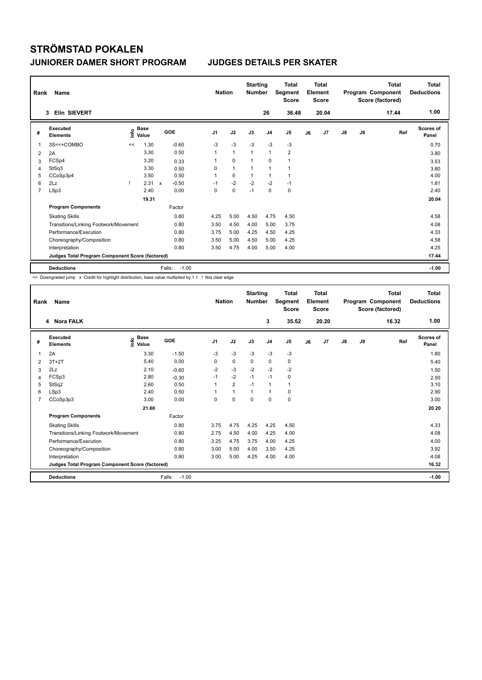| Rank | Name                                            |      |                      |                           |         | <b>Nation</b>  |              | <b>Starting</b><br><b>Number</b> |                | <b>Total</b><br>Segment<br><b>Score</b> |    | <b>Total</b><br>Element<br><b>Score</b> |               |    | Total<br>Program Component<br>Score (factored) | Total<br><b>Deductions</b> |
|------|-------------------------------------------------|------|----------------------|---------------------------|---------|----------------|--------------|----------------------------------|----------------|-----------------------------------------|----|-----------------------------------------|---------------|----|------------------------------------------------|----------------------------|
|      | Elin SIEVERT<br>3                               |      |                      |                           |         |                |              |                                  | 26             | 36.48                                   |    | 20.04                                   |               |    | 17.44                                          | 1.00                       |
| #    | Executed<br><b>Elements</b>                     | lnfo | <b>Base</b><br>Value | <b>GOE</b>                |         | J <sub>1</sub> | J2           | J3                               | J <sub>4</sub> | J <sub>5</sub>                          | J6 | J7                                      | $\mathsf{J}8$ | J9 | Ref                                            | Scores of<br>Panel         |
| 1    | 3S<<+COMBO                                      | <<   | 1.30                 |                           | $-0.60$ | $-3$           | $-3$         | $-3$                             | -3             | $-3$                                    |    |                                         |               |    |                                                | 0.70                       |
| 2    | 2A                                              |      | 3.30                 |                           | 0.50    | 1              | $\mathbf{1}$ | $\mathbf{1}$                     | $\mathbf{1}$   | $\overline{2}$                          |    |                                         |               |    |                                                | 3.80                       |
| 3    | FCSp4                                           |      | 3.20                 |                           | 0.33    |                | $\mathbf 0$  |                                  | $\mathbf 0$    | 1                                       |    |                                         |               |    |                                                | 3.53                       |
| 4    | StSq3                                           |      | 3.30                 |                           | 0.50    | 0              | $\mathbf{1}$ | 1                                | $\mathbf{1}$   | 1                                       |    |                                         |               |    |                                                | 3.80                       |
| 5    | CCoSp3p4                                        |      | 3.50                 |                           | 0.50    | $\mathbf{1}$   | $\mathbf 0$  |                                  | $\mathbf{1}$   | $\mathbf{1}$                            |    |                                         |               |    |                                                | 4.00                       |
| 6    | 2Lz                                             |      | 2.31                 | $\boldsymbol{\mathsf{x}}$ | $-0.50$ | $-1$           | $-2$         | $-2$                             | $-2$           | $-1$                                    |    |                                         |               |    |                                                | 1.81                       |
| 7    | LSp3                                            |      | 2.40                 |                           | 0.00    | 0              | $\pmb{0}$    | $-1$                             | $\mathbf 0$    | 0                                       |    |                                         |               |    |                                                | 2.40                       |
|      |                                                 |      | 19.31                |                           |         |                |              |                                  |                |                                         |    |                                         |               |    |                                                | 20.04                      |
|      | <b>Program Components</b>                       |      |                      |                           | Factor  |                |              |                                  |                |                                         |    |                                         |               |    |                                                |                            |
|      | <b>Skating Skills</b>                           |      |                      |                           | 0.80    | 4.25           | 5.00         | 4.50                             | 4.75           | 4.50                                    |    |                                         |               |    |                                                | 4.58                       |
|      | Transitions/Linking Footwork/Movement           |      |                      |                           | 0.80    | 3.50           | 4.50         | 4.00                             | 5.00           | 3.75                                    |    |                                         |               |    |                                                | 4.08                       |
|      | Performance/Execution                           |      |                      |                           | 0.80    | 3.75           | 5.00         | 4.25                             | 4.50           | 4.25                                    |    |                                         |               |    |                                                | 4.33                       |
|      | Choreography/Composition                        |      |                      |                           | 0.80    | 3.50           | 5.00         | 4.50                             | 5.00           | 4.25                                    |    |                                         |               |    |                                                | 4.58                       |
|      | Interpretation                                  |      |                      |                           | 0.80    | 3.50           | 4.75         | 4.00                             | 5.00           | 4.00                                    |    |                                         |               |    |                                                | 4.25                       |
|      | Judges Total Program Component Score (factored) |      |                      |                           |         |                |              |                                  |                |                                         |    |                                         |               |    |                                                | 17.44                      |
|      | <b>Deductions</b>                               |      |                      | Falls:                    | $-1.00$ |                |              |                                  |                |                                         |    |                                         |               |    |                                                | $-1.00$                    |

<< Downgraded jump x Credit for highlight distribution, base value multiplied by 1.1 ! Not clear edge

| Rank           | Name                                            |                                  |                   | <b>Nation</b>  |                | <b>Starting</b><br><b>Number</b> |                | <b>Total</b><br>Segment<br><b>Score</b> |    | <b>Total</b><br>Element<br><b>Score</b> |               |    | <b>Total</b><br>Program Component<br>Score (factored) | <b>Total</b><br><b>Deductions</b> |
|----------------|-------------------------------------------------|----------------------------------|-------------------|----------------|----------------|----------------------------------|----------------|-----------------------------------------|----|-----------------------------------------|---------------|----|-------------------------------------------------------|-----------------------------------|
|                | 4 Nora FALK                                     |                                  |                   |                |                |                                  | 3              | 35.52                                   |    | 20.20                                   |               |    | 16.32                                                 | 1.00                              |
| #              | Executed<br><b>Elements</b>                     | <b>Base</b><br>e Base<br>⊑ Value | GOE               | J <sub>1</sub> | J2             | J3                               | J <sub>4</sub> | J5                                      | J6 | J <sub>7</sub>                          | $\mathsf{J}8$ | J9 | Ref                                                   | <b>Scores of</b><br>Panel         |
| 1              | 2A                                              | 3.30                             | $-1.50$           | $-3$           | $-3$           | $-3$                             | $-3$           | $-3$                                    |    |                                         |               |    |                                                       | 1.80                              |
| 2              | $3T+2T$                                         | 5.40                             | 0.00              | $\Omega$       | $\mathbf 0$    | 0                                | 0              | 0                                       |    |                                         |               |    |                                                       | 5.40                              |
| 3              | 2Lz                                             | 2.10                             | $-0.60$           | $-2$           | $-3$           | $-2$                             | $-2$           | $-2$                                    |    |                                         |               |    |                                                       | 1.50                              |
| 4              | FCSp3                                           | 2.80                             | $-0.30$           | $-1$           | $-2$           | $-1$                             | $-1$           | 0                                       |    |                                         |               |    |                                                       | 2.50                              |
| 5              | StSq2                                           | 2.60                             | 0.50              |                | $\overline{2}$ | $-1$                             | $\mathbf{1}$   | 1                                       |    |                                         |               |    |                                                       | 3.10                              |
| 6              | LSp3                                            | 2.40                             | 0.50              |                | $\mathbf{1}$   | 1                                | $\mathbf{1}$   | 0                                       |    |                                         |               |    |                                                       | 2.90                              |
| $\overline{7}$ | CCoSp3p3                                        | 3.00                             | 0.00              | $\Omega$       | $\Omega$       | $\Omega$                         | $\Omega$       | 0                                       |    |                                         |               |    |                                                       | 3.00                              |
|                |                                                 | 21.60                            |                   |                |                |                                  |                |                                         |    |                                         |               |    |                                                       | 20.20                             |
|                | <b>Program Components</b>                       |                                  | Factor            |                |                |                                  |                |                                         |    |                                         |               |    |                                                       |                                   |
|                | <b>Skating Skills</b>                           |                                  | 0.80              | 3.75           | 4.75           | 4.25                             | 4.25           | 4.50                                    |    |                                         |               |    |                                                       | 4.33                              |
|                | Transitions/Linking Footwork/Movement           |                                  | 0.80              | 2.75           | 4.50           | 4.00                             | 4.25           | 4.00                                    |    |                                         |               |    |                                                       | 4.08                              |
|                | Performance/Execution                           |                                  | 0.80              | 3.25           | 4.75           | 3.75                             | 4.00           | 4.25                                    |    |                                         |               |    |                                                       | 4.00                              |
|                | Choreography/Composition                        |                                  | 0.80              | 3.00           | 5.00           | 4.00                             | 3.50           | 4.25                                    |    |                                         |               |    |                                                       | 3.92                              |
|                | Interpretation                                  |                                  | 0.80              | 3.00           | 5.00           | 4.25                             | 4.00           | 4.00                                    |    |                                         |               |    |                                                       | 4.08                              |
|                | Judges Total Program Component Score (factored) |                                  |                   |                |                |                                  |                |                                         |    |                                         |               |    |                                                       | 16.32                             |
|                | <b>Deductions</b>                               |                                  | Falls:<br>$-1.00$ |                |                |                                  |                |                                         |    |                                         |               |    |                                                       | $-1.00$                           |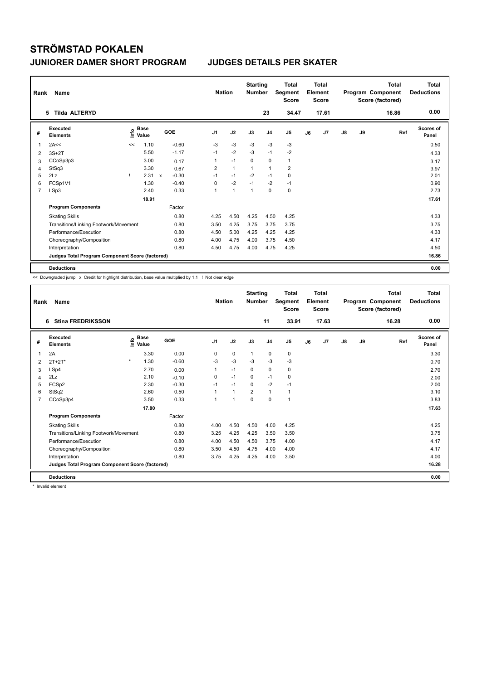| Rank           | <b>Name</b>                                     |      |                      |              |         |                | <b>Nation</b>  | <b>Starting</b><br><b>Number</b> |                | <b>Total</b><br>Segment<br><b>Score</b> |    | <b>Total</b><br>Element<br><b>Score</b> |               |    | <b>Total</b><br>Program Component<br>Score (factored) | <b>Total</b><br><b>Deductions</b> |
|----------------|-------------------------------------------------|------|----------------------|--------------|---------|----------------|----------------|----------------------------------|----------------|-----------------------------------------|----|-----------------------------------------|---------------|----|-------------------------------------------------------|-----------------------------------|
|                | <b>Tilda ALTERYD</b><br>5.                      |      |                      |              |         |                |                |                                  | 23             | 34.47                                   |    | 17.61                                   |               |    | 16.86                                                 | 0.00                              |
| #              | Executed<br><b>Elements</b>                     | lnfo | <b>Base</b><br>Value | GOE          |         | J <sub>1</sub> | J2             | J3                               | J <sub>4</sub> | J5                                      | J6 | J7                                      | $\mathsf{J}8$ | J9 | Ref                                                   | <b>Scores of</b><br>Panel         |
| 1              | 2A<<                                            | <<   | 1.10                 |              | $-0.60$ | -3             | $-3$           | $-3$                             | -3             | -3                                      |    |                                         |               |    |                                                       | 0.50                              |
| 2              | $3S+2T$                                         |      | 5.50                 |              | $-1.17$ | $-1$           | $-2$           | $-3$                             | $-1$           | $-2$                                    |    |                                         |               |    |                                                       | 4.33                              |
| 3              | CCoSp3p3                                        |      | 3.00                 |              | 0.17    | 1              | $-1$           | 0                                | 0              | $\mathbf{1}$                            |    |                                         |               |    |                                                       | 3.17                              |
| 4              | StSq3                                           |      | 3.30                 |              | 0.67    | 2              | $\mathbf{1}$   | $\overline{1}$                   | $\mathbf{1}$   | $\overline{2}$                          |    |                                         |               |    |                                                       | 3.97                              |
| 5              | 2Lz                                             |      | 2.31                 | $\mathbf{x}$ | $-0.30$ | $-1$           | $-1$           | $-2$                             | $-1$           | 0                                       |    |                                         |               |    |                                                       | 2.01                              |
| 6              | FCSp1V1                                         |      | 1.30                 |              | $-0.40$ | 0              | $-2$           | $-1$                             | $-2$           | $-1$                                    |    |                                         |               |    |                                                       | 0.90                              |
| $\overline{7}$ | LSp3                                            |      | 2.40                 |              | 0.33    | 1              | $\overline{1}$ | $\overline{1}$                   | $\mathbf 0$    | $\mathbf 0$                             |    |                                         |               |    |                                                       | 2.73                              |
|                |                                                 |      | 18.91                |              |         |                |                |                                  |                |                                         |    |                                         |               |    |                                                       | 17.61                             |
|                | <b>Program Components</b>                       |      |                      |              | Factor  |                |                |                                  |                |                                         |    |                                         |               |    |                                                       |                                   |
|                | <b>Skating Skills</b>                           |      |                      |              | 0.80    | 4.25           | 4.50           | 4.25                             | 4.50           | 4.25                                    |    |                                         |               |    |                                                       | 4.33                              |
|                | Transitions/Linking Footwork/Movement           |      |                      |              | 0.80    | 3.50           | 4.25           | 3.75                             | 3.75           | 3.75                                    |    |                                         |               |    |                                                       | 3.75                              |
|                | Performance/Execution                           |      |                      |              | 0.80    | 4.50           | 5.00           | 4.25                             | 4.25           | 4.25                                    |    |                                         |               |    |                                                       | 4.33                              |
|                | Choreography/Composition                        |      |                      |              | 0.80    | 4.00           | 4.75           | 4.00                             | 3.75           | 4.50                                    |    |                                         |               |    |                                                       | 4.17                              |
|                | Interpretation                                  |      |                      |              | 0.80    | 4.50           | 4.75           | 4.00                             | 4.75           | 4.25                                    |    |                                         |               |    |                                                       | 4.50                              |
|                | Judges Total Program Component Score (factored) |      |                      |              |         |                |                |                                  |                |                                         |    |                                         |               |    |                                                       | 16.86                             |
|                | <b>Deductions</b>                               |      |                      |              |         |                |                |                                  |                |                                         |    |                                         |               |    |                                                       | 0.00                              |

<< Downgraded jump x Credit for highlight distribution, base value multiplied by 1.1 ! Not clear edge

| Rank | Name                                            |                                  |         | <b>Nation</b>  |                      | <b>Starting</b><br><b>Number</b> |                | <b>Total</b><br>Segment<br><b>Score</b> |    | <b>Total</b><br>Element<br><b>Score</b> |               |    | <b>Total</b><br>Program Component<br>Score (factored) | <b>Total</b><br><b>Deductions</b> |
|------|-------------------------------------------------|----------------------------------|---------|----------------|----------------------|----------------------------------|----------------|-----------------------------------------|----|-----------------------------------------|---------------|----|-------------------------------------------------------|-----------------------------------|
|      | <b>Stina FREDRIKSSON</b><br>6                   |                                  |         |                |                      |                                  | 11             | 33.91                                   |    | 17.63                                   |               |    | 16.28                                                 | 0.00                              |
| #    | Executed<br><b>Elements</b>                     | <b>Base</b><br>e Base<br>⊆ Value | GOE     | J <sub>1</sub> | J2                   | J3                               | J <sub>4</sub> | J5                                      | J6 | J <sub>7</sub>                          | $\mathsf{J}8$ | J9 | Ref                                                   | <b>Scores of</b><br>Panel         |
| 1    | 2A                                              | 3.30                             | 0.00    | 0              | $\mathbf 0$          | $\mathbf{1}$                     | 0              | 0                                       |    |                                         |               |    |                                                       | 3.30                              |
| 2    | $2T+2T^*$                                       | $\star$<br>1.30                  | $-0.60$ | $-3$           | $-3$                 | $-3$                             | $-3$           | $-3$                                    |    |                                         |               |    |                                                       | 0.70                              |
| 3    | LSp4                                            | 2.70                             | 0.00    |                | $-1$                 | $\mathbf 0$                      | 0              | 0                                       |    |                                         |               |    |                                                       | 2.70                              |
| 4    | 2Lz                                             | 2.10                             | $-0.10$ | 0              | $-1$                 | 0                                | $-1$           | 0                                       |    |                                         |               |    |                                                       | 2.00                              |
| 5    | FCSp2                                           | 2.30                             | $-0.30$ | $-1$           | $-1$                 | 0                                | $-2$           | $-1$                                    |    |                                         |               |    |                                                       | 2.00                              |
| 6    | StSq2                                           | 2.60                             | 0.50    |                | $\blacktriangleleft$ | $\overline{2}$                   | $\mathbf{1}$   | 1                                       |    |                                         |               |    |                                                       | 3.10                              |
| 7    | CCoSp3p4                                        | 3.50                             | 0.33    |                | 1                    | $\Omega$                         | $\Omega$       | 1                                       |    |                                         |               |    |                                                       | 3.83                              |
|      |                                                 | 17.80                            |         |                |                      |                                  |                |                                         |    |                                         |               |    |                                                       | 17.63                             |
|      | <b>Program Components</b>                       |                                  | Factor  |                |                      |                                  |                |                                         |    |                                         |               |    |                                                       |                                   |
|      | <b>Skating Skills</b>                           |                                  | 0.80    | 4.00           | 4.50                 | 4.50                             | 4.00           | 4.25                                    |    |                                         |               |    |                                                       | 4.25                              |
|      | Transitions/Linking Footwork/Movement           |                                  | 0.80    | 3.25           | 4.25                 | 4.25                             | 3.50           | 3.50                                    |    |                                         |               |    |                                                       | 3.75                              |
|      | Performance/Execution                           |                                  | 0.80    | 4.00           | 4.50                 | 4.50                             | 3.75           | 4.00                                    |    |                                         |               |    |                                                       | 4.17                              |
|      | Choreography/Composition                        |                                  | 0.80    | 3.50           | 4.50                 | 4.75                             | 4.00           | 4.00                                    |    |                                         |               |    |                                                       | 4.17                              |
|      | Interpretation                                  |                                  | 0.80    | 3.75           | 4.25                 | 4.25                             | 4.00           | 3.50                                    |    |                                         |               |    |                                                       | 4.00                              |
|      | Judges Total Program Component Score (factored) |                                  |         |                |                      |                                  |                |                                         |    |                                         |               |    |                                                       | 16.28                             |
|      | <b>Deductions</b>                               |                                  |         |                |                      |                                  |                |                                         |    |                                         |               |    |                                                       | 0.00                              |

\* Invalid element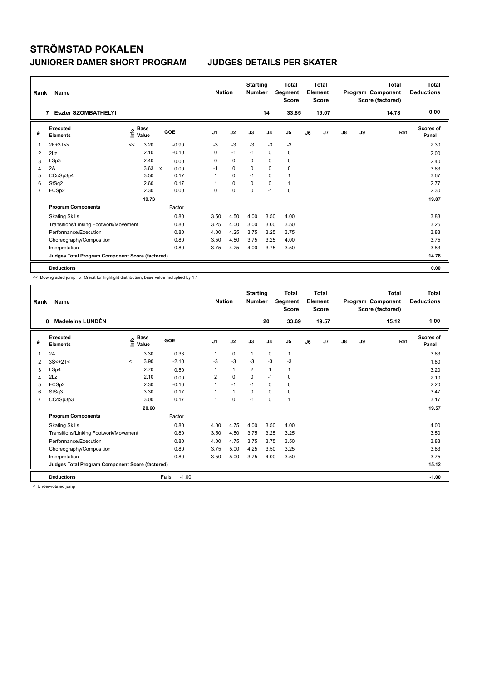| Rank           | Name                                            |      |                      |              |         |                | <b>Nation</b> | <b>Starting</b><br><b>Number</b> |                | <b>Total</b><br>Segment<br><b>Score</b> |    | <b>Total</b><br>Element<br><b>Score</b> |               |    | <b>Total</b><br>Program Component<br>Score (factored) | <b>Total</b><br><b>Deductions</b> |
|----------------|-------------------------------------------------|------|----------------------|--------------|---------|----------------|---------------|----------------------------------|----------------|-----------------------------------------|----|-----------------------------------------|---------------|----|-------------------------------------------------------|-----------------------------------|
|                | <b>Eszter SZOMBATHELYI</b><br>7                 |      |                      |              |         |                |               |                                  | 14             | 33.85                                   |    | 19.07                                   |               |    | 14.78                                                 | 0.00                              |
| #              | Executed<br><b>Elements</b>                     | lnfo | <b>Base</b><br>Value | GOE          |         | J <sub>1</sub> | J2            | J3                               | J <sub>4</sub> | J <sub>5</sub>                          | J6 | J <sub>7</sub>                          | $\mathsf{J}8$ | J9 | Ref                                                   | Scores of<br>Panel                |
| $\mathbf{1}$   | $2F+3T<<$                                       | <<   | 3.20                 |              | $-0.90$ | -3             | $-3$          | $-3$                             | -3             | -3                                      |    |                                         |               |    |                                                       | 2.30                              |
| 2              | 2Lz                                             |      | 2.10                 |              | $-0.10$ | 0              | $-1$          | $-1$                             | 0              | 0                                       |    |                                         |               |    |                                                       | 2.00                              |
| 3              | LSp3                                            |      | 2.40                 |              | 0.00    | 0              | $\mathbf 0$   | 0                                | $\mathbf 0$    | 0                                       |    |                                         |               |    |                                                       | 2.40                              |
| $\overline{4}$ | 2A                                              |      | 3.63                 | $\mathsf{x}$ | 0.00    | $-1$           | 0             | 0                                | 0              | 0                                       |    |                                         |               |    |                                                       | 3.63                              |
| 5              | CCoSp3p4                                        |      | 3.50                 |              | 0.17    | 1              | 0             | $-1$                             | 0              | 1                                       |    |                                         |               |    |                                                       | 3.67                              |
| 6              | StSq2                                           |      | 2.60                 |              | 0.17    | 1              | $\mathbf 0$   | 0                                | $\mathbf 0$    | $\mathbf{1}$                            |    |                                         |               |    |                                                       | 2.77                              |
| $\overline{7}$ | FCSp2                                           |      | 2.30                 |              | 0.00    | 0              | $\mathbf 0$   | $\mathbf 0$                      | $-1$           | $\mathbf 0$                             |    |                                         |               |    |                                                       | 2.30                              |
|                |                                                 |      | 19.73                |              |         |                |               |                                  |                |                                         |    |                                         |               |    |                                                       | 19.07                             |
|                | <b>Program Components</b>                       |      |                      |              | Factor  |                |               |                                  |                |                                         |    |                                         |               |    |                                                       |                                   |
|                | <b>Skating Skills</b>                           |      |                      |              | 0.80    | 3.50           | 4.50          | 4.00                             | 3.50           | 4.00                                    |    |                                         |               |    |                                                       | 3.83                              |
|                | Transitions/Linking Footwork/Movement           |      |                      |              | 0.80    | 3.25           | 4.00          | 3.00                             | 3.00           | 3.50                                    |    |                                         |               |    |                                                       | 3.25                              |
|                | Performance/Execution                           |      |                      |              | 0.80    | 4.00           | 4.25          | 3.75                             | 3.25           | 3.75                                    |    |                                         |               |    |                                                       | 3.83                              |
|                | Choreography/Composition                        |      |                      |              | 0.80    | 3.50           | 4.50          | 3.75                             | 3.25           | 4.00                                    |    |                                         |               |    |                                                       | 3.75                              |
|                | Interpretation                                  |      |                      |              | 0.80    | 3.75           | 4.25          | 4.00                             | 3.75           | 3.50                                    |    |                                         |               |    |                                                       | 3.83                              |
|                | Judges Total Program Component Score (factored) |      |                      |              |         |                |               |                                  |                |                                         |    |                                         |               |    |                                                       | 14.78                             |
|                | <b>Deductions</b>                               |      |                      |              |         |                |               |                                  |                |                                         |    |                                         |               |    |                                                       | 0.00                              |

<< Downgraded jump x Credit for highlight distribution, base value multiplied by 1.1

| Rank           | Name                                            |         |                   |                   | <b>Nation</b>  |              | <b>Starting</b><br><b>Number</b> |                | <b>Total</b><br>Segment<br><b>Score</b> |    | Total<br>Element<br><b>Score</b> |               |    | Total<br>Program Component<br>Score (factored) | <b>Total</b><br><b>Deductions</b> |
|----------------|-------------------------------------------------|---------|-------------------|-------------------|----------------|--------------|----------------------------------|----------------|-----------------------------------------|----|----------------------------------|---------------|----|------------------------------------------------|-----------------------------------|
|                | <b>Madeleine LUNDÉN</b><br>8                    |         |                   |                   |                |              |                                  | 20             | 33.69                                   |    | 19.57                            |               |    | 15.12                                          | 1.00                              |
| #              | Executed<br><b>Elements</b>                     |         | e Base<br>E Value | GOE               | J <sub>1</sub> | J2           | J3                               | J <sub>4</sub> | J5                                      | J6 | J7                               | $\mathsf{J}8$ | J9 | Ref                                            | <b>Scores of</b><br>Panel         |
| 1              | 2A                                              |         | 3.30              | 0.33              |                | $\mathbf 0$  | 1                                | 0              | $\mathbf{1}$                            |    |                                  |               |    |                                                | 3.63                              |
| 2              | $3S<+2T<$                                       | $\prec$ | 3.90              | $-2.10$           | $-3$           | $-3$         | $-3$                             | $-3$           | $-3$                                    |    |                                  |               |    |                                                | 1.80                              |
| 3              | LSp4                                            |         | 2.70              | 0.50              |                | $\mathbf{1}$ | $\overline{2}$                   | $\mathbf{1}$   | 1                                       |    |                                  |               |    |                                                | 3.20                              |
| 4              | 2Lz                                             |         | 2.10              | 0.00              | $\overline{2}$ | $\mathbf 0$  | $\Omega$                         | $-1$           | 0                                       |    |                                  |               |    |                                                | 2.10                              |
| 5              | FCSp2                                           |         | 2.30              | $-0.10$           |                | $-1$         | $-1$                             | $\Omega$       | 0                                       |    |                                  |               |    |                                                | 2.20                              |
| 6              | StSq3                                           |         | 3.30              | 0.17              |                | $\mathbf{1}$ | $\mathbf 0$                      | $\mathbf 0$    | 0                                       |    |                                  |               |    |                                                | 3.47                              |
| $\overline{7}$ | CCoSp3p3                                        |         | 3.00              | 0.17              | $\overline{1}$ | $\Omega$     | $-1$                             | 0              | 1                                       |    |                                  |               |    |                                                | 3.17                              |
|                |                                                 |         | 20.60             |                   |                |              |                                  |                |                                         |    |                                  |               |    |                                                | 19.57                             |
|                | <b>Program Components</b>                       |         |                   | Factor            |                |              |                                  |                |                                         |    |                                  |               |    |                                                |                                   |
|                | <b>Skating Skills</b>                           |         |                   | 0.80              | 4.00           | 4.75         | 4.00                             | 3.50           | 4.00                                    |    |                                  |               |    |                                                | 4.00                              |
|                | Transitions/Linking Footwork/Movement           |         |                   | 0.80              | 3.50           | 4.50         | 3.75                             | 3.25           | 3.25                                    |    |                                  |               |    |                                                | 3.50                              |
|                | Performance/Execution                           |         |                   | 0.80              | 4.00           | 4.75         | 3.75                             | 3.75           | 3.50                                    |    |                                  |               |    |                                                | 3.83                              |
|                | Choreography/Composition                        |         |                   | 0.80              | 3.75           | 5.00         | 4.25                             | 3.50           | 3.25                                    |    |                                  |               |    |                                                | 3.83                              |
|                | Interpretation                                  |         |                   | 0.80              | 3.50           | 5.00         | 3.75                             | 4.00           | 3.50                                    |    |                                  |               |    |                                                | 3.75                              |
|                | Judges Total Program Component Score (factored) |         |                   |                   |                |              |                                  |                |                                         |    |                                  |               |    |                                                | 15.12                             |
|                | <b>Deductions</b>                               |         |                   | $-1.00$<br>Falls: |                |              |                                  |                |                                         |    |                                  |               |    |                                                | $-1.00$                           |

< Under-rotated jump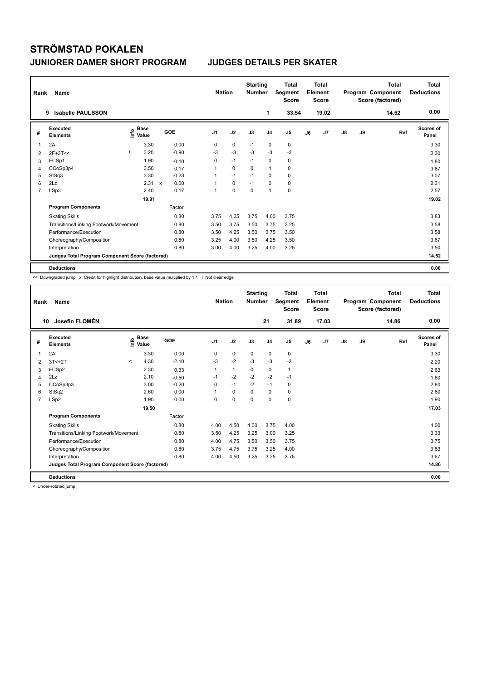| Rank           | Name                                            |                                  |                           |         |                | <b>Nation</b> | <b>Starting</b><br><b>Number</b> |                | <b>Total</b><br>Segment<br><b>Score</b> |    | Total<br>Element<br><b>Score</b> |               |    | <b>Total</b><br>Program Component<br>Score (factored) | <b>Total</b><br><b>Deductions</b> |
|----------------|-------------------------------------------------|----------------------------------|---------------------------|---------|----------------|---------------|----------------------------------|----------------|-----------------------------------------|----|----------------------------------|---------------|----|-------------------------------------------------------|-----------------------------------|
|                | <b>Isabelle PAULSSON</b><br>9                   |                                  |                           |         |                |               |                                  | 1              | 33.54                                   |    | 19.02                            |               |    | 14.52                                                 | 0.00                              |
| #              | Executed<br><b>Elements</b>                     | <b>Base</b><br>e Base<br>E Value |                           | GOE     | J <sub>1</sub> | J2            | J3                               | J <sub>4</sub> | J <sub>5</sub>                          | J6 | J <sub>7</sub>                   | $\mathsf{J}8$ | J9 | Ref                                                   | <b>Scores of</b><br>Panel         |
| 1              | 2A                                              | 3.30                             |                           | 0.00    | 0              | 0             | $-1$                             | $\mathbf 0$    | 0                                       |    |                                  |               |    |                                                       | 3.30                              |
| 2              | $2F+3T<<$                                       | 3.20                             |                           | $-0.90$ | $-3$           | $-3$          | $-3$                             | $-3$           | $-3$                                    |    |                                  |               |    |                                                       | 2.30                              |
| 3              | FCSp1                                           | 1.90                             |                           | $-0.10$ | 0              | $-1$          | $-1$                             | $\mathbf 0$    | 0                                       |    |                                  |               |    |                                                       | 1.80                              |
| 4              | CCoSp3p4                                        | 3.50                             |                           | 0.17    | 1              | 0             | $\Omega$                         | $\overline{1}$ | 0                                       |    |                                  |               |    |                                                       | 3.67                              |
| 5              | StSq3                                           | 3.30                             |                           | $-0.23$ | 1              | $-1$          | $-1$                             | $\mathbf 0$    | 0                                       |    |                                  |               |    |                                                       | 3.07                              |
| 6              | 2Lz                                             | 2.31                             | $\boldsymbol{\mathsf{x}}$ | 0.00    | 1              | $\mathbf 0$   | $-1$                             | $\mathbf 0$    | 0                                       |    |                                  |               |    |                                                       | 2.31                              |
| $\overline{7}$ | LSp3                                            | 2.40                             |                           | 0.17    | 1              | $\mathbf 0$   | $\mathbf 0$                      | $\overline{1}$ | $\pmb{0}$                               |    |                                  |               |    |                                                       | 2.57                              |
|                |                                                 | 19.91                            |                           |         |                |               |                                  |                |                                         |    |                                  |               |    |                                                       | 19.02                             |
|                | <b>Program Components</b>                       |                                  |                           | Factor  |                |               |                                  |                |                                         |    |                                  |               |    |                                                       |                                   |
|                | <b>Skating Skills</b>                           |                                  |                           | 0.80    | 3.75           | 4.25          | 3.75                             | 4.00           | 3.75                                    |    |                                  |               |    |                                                       | 3.83                              |
|                | Transitions/Linking Footwork/Movement           |                                  |                           | 0.80    | 3.50           | 3.75          | 3.50                             | 3.75           | 3.25                                    |    |                                  |               |    |                                                       | 3.58                              |
|                | Performance/Execution                           |                                  |                           | 0.80    | 3.50           | 4.25          | 3.50                             | 3.75           | 3.50                                    |    |                                  |               |    |                                                       | 3.58                              |
|                | Choreography/Composition                        |                                  |                           | 0.80    | 3.25           | 4.00          | 3.50                             | 4.25           | 3.50                                    |    |                                  |               |    |                                                       | 3.67                              |
|                | Interpretation                                  |                                  |                           | 0.80    | 3.00           | 4.00          | 3.25                             | 4.00           | 3.25                                    |    |                                  |               |    |                                                       | 3.50                              |
|                | Judges Total Program Component Score (factored) |                                  |                           |         |                |               |                                  |                |                                         |    |                                  |               |    |                                                       | 14.52                             |
|                | <b>Deductions</b>                               |                                  |                           |         |                |               |                                  |                |                                         |    |                                  |               |    |                                                       | 0.00                              |

<< Downgraded jump x Credit for highlight distribution, base value multiplied by 1.1 ! Not clear edge

| Rank           | Name                                            |                          |                                  |         | <b>Nation</b> |              | <b>Starting</b><br><b>Number</b> |                | <b>Total</b><br>Segment<br><b>Score</b> |    | <b>Total</b><br>Element<br><b>Score</b> |               |    | <b>Total</b><br>Program Component<br>Score (factored) | <b>Total</b><br><b>Deductions</b> |
|----------------|-------------------------------------------------|--------------------------|----------------------------------|---------|---------------|--------------|----------------------------------|----------------|-----------------------------------------|----|-----------------------------------------|---------------|----|-------------------------------------------------------|-----------------------------------|
|                | Josefin FLOMÉN<br>10                            |                          |                                  |         |               |              |                                  | 21             | 31.89                                   |    | 17.03                                   |               |    | 14.86                                                 | 0.00                              |
| #              | Executed<br><b>Elements</b>                     |                          | <b>Base</b><br>e Base<br>⊆ Value | GOE     | J1            | J2           | J3                               | J <sub>4</sub> | J5                                      | J6 | J <sub>7</sub>                          | $\mathsf{J}8$ | J9 | Ref                                                   | <b>Scores of</b><br>Panel         |
| 1              | 2A                                              |                          | 3.30                             | 0.00    | 0             | $\mathbf 0$  | $\mathbf 0$                      | $\mathbf 0$    | 0                                       |    |                                         |               |    |                                                       | 3.30                              |
| 2              | $3T < +2T$                                      | $\overline{\phantom{a}}$ | 4.30                             | $-2.10$ | $-3$          | $-2$         | $-3$                             | $-3$           | $-3$                                    |    |                                         |               |    |                                                       | 2.20                              |
| 3              | FCSp2                                           |                          | 2.30                             | 0.33    | 1             | $\mathbf{1}$ | 0                                | $\mathbf 0$    | 1                                       |    |                                         |               |    |                                                       | 2.63                              |
| 4              | 2Lz                                             |                          | 2.10                             | $-0.50$ | $-1$          | $-2$         | $-2$                             | $-2$           | $-1$                                    |    |                                         |               |    |                                                       | 1.60                              |
| 5              | CCoSp3p3                                        |                          | 3.00                             | $-0.20$ | 0             | $-1$         | $-2$                             | $-1$           | 0                                       |    |                                         |               |    |                                                       | 2.80                              |
| 6              | StSq2                                           |                          | 2.60                             | 0.00    |               | 0            | $\Omega$                         | 0              | 0                                       |    |                                         |               |    |                                                       | 2.60                              |
| $\overline{7}$ | LSp2                                            |                          | 1.90                             | 0.00    | $\Omega$      | $\Omega$     | $\Omega$                         | $\Omega$       | 0                                       |    |                                         |               |    |                                                       | 1.90                              |
|                |                                                 |                          | 19.50                            |         |               |              |                                  |                |                                         |    |                                         |               |    |                                                       | 17.03                             |
|                | <b>Program Components</b>                       |                          |                                  | Factor  |               |              |                                  |                |                                         |    |                                         |               |    |                                                       |                                   |
|                | <b>Skating Skills</b>                           |                          |                                  | 0.80    | 4.00          | 4.50         | 4.00                             | 3.75           | 4.00                                    |    |                                         |               |    |                                                       | 4.00                              |
|                | Transitions/Linking Footwork/Movement           |                          |                                  | 0.80    | 3.50          | 4.25         | 3.25                             | 3.00           | 3.25                                    |    |                                         |               |    |                                                       | 3.33                              |
|                | Performance/Execution                           |                          |                                  | 0.80    | 4.00          | 4.75         | 3.50                             | 3.50           | 3.75                                    |    |                                         |               |    |                                                       | 3.75                              |
|                | Choreography/Composition                        |                          |                                  | 0.80    | 3.75          | 4.75         | 3.75                             | 3.25           | 4.00                                    |    |                                         |               |    |                                                       | 3.83                              |
|                | Interpretation                                  |                          |                                  | 0.80    | 4.00          | 4.50         | 3.25                             | 3.25           | 3.75                                    |    |                                         |               |    |                                                       | 3.67                              |
|                | Judges Total Program Component Score (factored) |                          |                                  |         |               |              |                                  |                |                                         |    |                                         |               |    |                                                       | 14.86                             |
|                | <b>Deductions</b>                               |                          |                                  |         |               |              |                                  |                |                                         |    |                                         |               |    |                                                       | 0.00                              |

< Under-rotated jump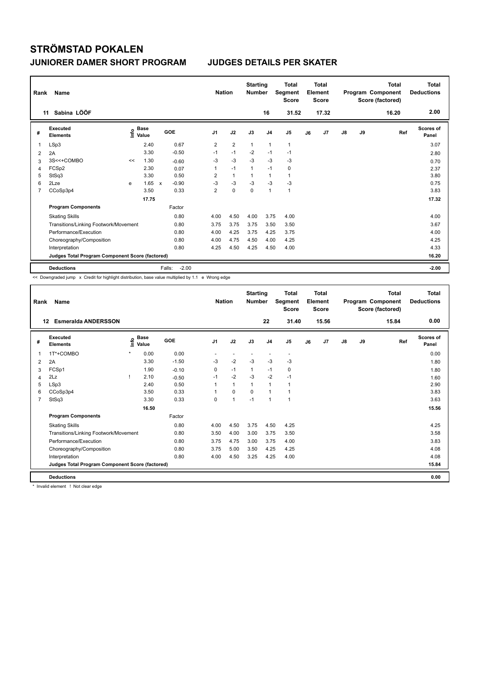| Rank | Name                                            |    |                                    |              |         | <b>Nation</b>  |                | <b>Starting</b><br><b>Number</b> |                | <b>Total</b><br>Segment<br><b>Score</b> |    | <b>Total</b><br>Element<br><b>Score</b> |               |    | <b>Total</b><br>Program Component<br>Score (factored) | <b>Total</b><br><b>Deductions</b> |
|------|-------------------------------------------------|----|------------------------------------|--------------|---------|----------------|----------------|----------------------------------|----------------|-----------------------------------------|----|-----------------------------------------|---------------|----|-------------------------------------------------------|-----------------------------------|
|      | Sabina LÖÖF<br>11                               |    |                                    |              |         |                |                |                                  | 16             | 31.52                                   |    | 17.32                                   |               |    | 16.20                                                 | 2.00                              |
| #    | <b>Executed</b><br><b>Elements</b>              |    | <b>Base</b><br>$\frac{6}{5}$ Value |              | GOE     | J <sub>1</sub> | J2             | J3                               | J <sub>4</sub> | J5                                      | J6 | J7                                      | $\mathsf{J}8$ | J9 | Ref                                                   | <b>Scores of</b><br>Panel         |
| 1    | LSp3                                            |    | 2.40                               |              | 0.67    | $\overline{2}$ | $\overline{2}$ | $\mathbf{1}$                     | $\mathbf 1$    | 1                                       |    |                                         |               |    |                                                       | 3.07                              |
| 2    | 2A                                              |    | 3.30                               |              | $-0.50$ | $-1$           | $-1$           | $-2$                             | $-1$           | $-1$                                    |    |                                         |               |    |                                                       | 2.80                              |
| 3    | 3S<<+COMBO                                      | << | 1.30                               |              | $-0.60$ | -3             | $-3$           | $-3$                             | -3             | $-3$                                    |    |                                         |               |    |                                                       | 0.70                              |
| 4    | FCSp2                                           |    | 2.30                               |              | 0.07    | 1              | $-1$           | $\mathbf{1}$                     | $-1$           | 0                                       |    |                                         |               |    |                                                       | 2.37                              |
| 5    | StSq3                                           |    | 3.30                               |              | 0.50    | $\overline{2}$ | $\mathbf{1}$   |                                  | $\mathbf{1}$   | $\mathbf{1}$                            |    |                                         |               |    |                                                       | 3.80                              |
| 6    | 2Lze                                            | e  | 1.65                               | $\mathsf{x}$ | $-0.90$ | $-3$           | $-3$           | $-3$                             | $-3$           | $-3$                                    |    |                                         |               |    |                                                       | 0.75                              |
| 7    | CCoSp3p4                                        |    | 3.50                               |              | 0.33    | $\overline{2}$ | $\pmb{0}$      | $\mathbf 0$                      | $\mathbf{1}$   | $\mathbf{1}$                            |    |                                         |               |    |                                                       | 3.83                              |
|      |                                                 |    | 17.75                              |              |         |                |                |                                  |                |                                         |    |                                         |               |    |                                                       | 17.32                             |
|      | <b>Program Components</b>                       |    |                                    |              | Factor  |                |                |                                  |                |                                         |    |                                         |               |    |                                                       |                                   |
|      | <b>Skating Skills</b>                           |    |                                    |              | 0.80    | 4.00           | 4.50           | 4.00                             | 3.75           | 4.00                                    |    |                                         |               |    |                                                       | 4.00                              |
|      | Transitions/Linking Footwork/Movement           |    |                                    |              | 0.80    | 3.75           | 3.75           | 3.75                             | 3.50           | 3.50                                    |    |                                         |               |    |                                                       | 3.67                              |
|      | Performance/Execution                           |    |                                    |              | 0.80    | 4.00           | 4.25           | 3.75                             | 4.25           | 3.75                                    |    |                                         |               |    |                                                       | 4.00                              |
|      | Choreography/Composition                        |    |                                    |              | 0.80    | 4.00           | 4.75           | 4.50                             | 4.00           | 4.25                                    |    |                                         |               |    |                                                       | 4.25                              |
|      | Interpretation                                  |    |                                    |              | 0.80    | 4.25           | 4.50           | 4.25                             | 4.50           | 4.00                                    |    |                                         |               |    |                                                       | 4.33                              |
|      | Judges Total Program Component Score (factored) |    |                                    |              |         |                |                |                                  |                |                                         |    |                                         |               |    |                                                       | 16.20                             |
|      | <b>Deductions</b>                               |    |                                    | Falls:       | $-2.00$ |                |                |                                  |                |                                         |    |                                         |               |    |                                                       | $-2.00$                           |

<< Downgraded jump x Credit for highlight distribution, base value multiplied by 1.1 e Wrong edge

| Rank           | Name                                            |         |                    |         | <b>Nation</b>  |              | <b>Starting</b><br><b>Number</b> |                          | <b>Total</b><br>Segment<br><b>Score</b> |    | <b>Total</b><br>Element<br><b>Score</b> |               |    | Total<br>Program Component<br>Score (factored) | <b>Total</b><br><b>Deductions</b> |
|----------------|-------------------------------------------------|---------|--------------------|---------|----------------|--------------|----------------------------------|--------------------------|-----------------------------------------|----|-----------------------------------------|---------------|----|------------------------------------------------|-----------------------------------|
|                | <b>Esmeralda ANDERSSON</b><br>12                |         |                    |         |                |              |                                  | 22                       | 31.40                                   |    | 15.56                                   |               |    | 15.84                                          | 0.00                              |
| #              | Executed<br><b>Elements</b>                     |         | $\frac{e}{E}$ Base | GOE     | J <sub>1</sub> | J2           | J3                               | J <sub>4</sub>           | J5                                      | J6 | J <sub>7</sub>                          | $\mathsf{J}8$ | J9 | Ref                                            | Scores of<br>Panel                |
| 1              | 1T*+COMBO                                       | $\star$ | 0.00               | 0.00    |                | $\sim$       |                                  | $\overline{\phantom{a}}$ | $\sim$                                  |    |                                         |               |    |                                                | 0.00                              |
| 2              | 2A                                              |         | 3.30               | $-1.50$ | $-3$           | $-2$         | $-3$                             | $-3$                     | $-3$                                    |    |                                         |               |    |                                                | 1.80                              |
| 3              | FCSp1                                           |         | 1.90               | $-0.10$ | 0              | $-1$         | 1                                | $-1$                     | 0                                       |    |                                         |               |    |                                                | 1.80                              |
| 4              | 2Lz                                             | ı       | 2.10               | $-0.50$ | $-1$           | $-2$         | $-3$                             | $-2$                     | $-1$                                    |    |                                         |               |    |                                                | 1.60                              |
| 5              | LSp3                                            |         | 2.40               | 0.50    |                | $\mathbf{1}$ | $\mathbf 1$                      | 1                        |                                         |    |                                         |               |    |                                                | 2.90                              |
| 6              | CCoSp3p4                                        |         | 3.50               | 0.33    |                | $\mathbf 0$  | $\Omega$                         | $\overline{1}$           | 1                                       |    |                                         |               |    |                                                | 3.83                              |
| $\overline{7}$ | StSq3                                           |         | 3.30               | 0.33    | $\Omega$       | $\mathbf{1}$ | $-1$                             | $\mathbf{1}$             | 1                                       |    |                                         |               |    |                                                | 3.63                              |
|                |                                                 |         | 16.50              |         |                |              |                                  |                          |                                         |    |                                         |               |    |                                                | 15.56                             |
|                | <b>Program Components</b>                       |         |                    | Factor  |                |              |                                  |                          |                                         |    |                                         |               |    |                                                |                                   |
|                | <b>Skating Skills</b>                           |         |                    | 0.80    | 4.00           | 4.50         | 3.75                             | 4.50                     | 4.25                                    |    |                                         |               |    |                                                | 4.25                              |
|                | Transitions/Linking Footwork/Movement           |         |                    | 0.80    | 3.50           | 4.00         | 3.00                             | 3.75                     | 3.50                                    |    |                                         |               |    |                                                | 3.58                              |
|                | Performance/Execution                           |         |                    | 0.80    | 3.75           | 4.75         | 3.00                             | 3.75                     | 4.00                                    |    |                                         |               |    |                                                | 3.83                              |
|                | Choreography/Composition                        |         |                    | 0.80    | 3.75           | 5.00         | 3.50                             | 4.25                     | 4.25                                    |    |                                         |               |    |                                                | 4.08                              |
|                | Interpretation                                  |         |                    | 0.80    | 4.00           | 4.50         | 3.25                             | 4.25                     | 4.00                                    |    |                                         |               |    |                                                | 4.08                              |
|                | Judges Total Program Component Score (factored) |         |                    |         |                |              |                                  |                          |                                         |    |                                         |               |    |                                                | 15.84                             |
|                | <b>Deductions</b>                               |         |                    |         |                |              |                                  |                          |                                         |    |                                         |               |    |                                                | 0.00                              |

\* Invalid element ! Not clear edge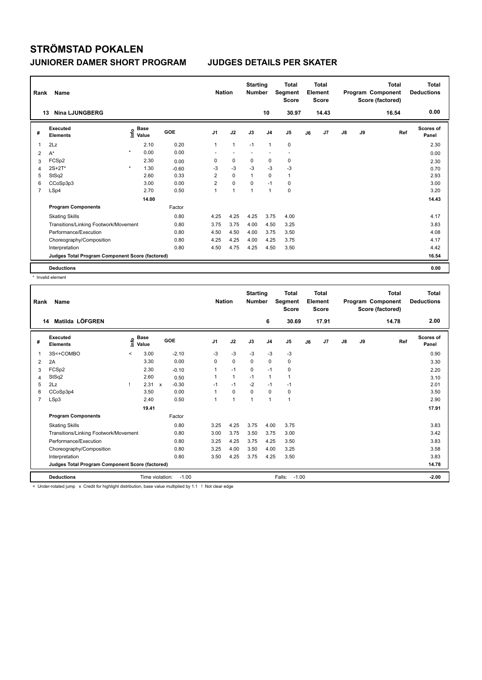| Rank           | Name                                            |         |                           |         | <b>Nation</b>  |                | <b>Starting</b><br><b>Number</b> |                | <b>Total</b><br>Segment<br><b>Score</b> |    | <b>Total</b><br>Element<br><b>Score</b> |               |    | <b>Total</b><br>Program Component<br>Score (factored) | <b>Total</b><br><b>Deductions</b> |
|----------------|-------------------------------------------------|---------|---------------------------|---------|----------------|----------------|----------------------------------|----------------|-----------------------------------------|----|-----------------------------------------|---------------|----|-------------------------------------------------------|-----------------------------------|
|                | <b>Nina LJUNGBERG</b><br>13                     |         |                           |         |                |                |                                  | 10             | 30.97                                   |    | 14.43                                   |               |    | 16.54                                                 | 0.00                              |
| #              | Executed<br><b>Elements</b>                     |         | Base<br>e Base<br>E Value | GOE     | J <sub>1</sub> | J2             | J3                               | J <sub>4</sub> | J <sub>5</sub>                          | J6 | J7                                      | $\mathsf{J}8$ | J9 | Ref                                                   | Scores of<br>Panel                |
| 1              | 2Lz                                             |         | 2.10                      | 0.20    | 1              | $\overline{1}$ | $-1$                             | $\mathbf{1}$   | 0                                       |    |                                         |               |    |                                                       | 2.30                              |
| 2              | $A^*$                                           | $\star$ | 0.00                      | 0.00    |                |                |                                  |                | $\overline{\phantom{a}}$                |    |                                         |               |    |                                                       | 0.00                              |
| 3              | FCSp2                                           |         | 2.30                      | 0.00    | 0              | $\mathbf 0$    | 0                                | 0              | 0                                       |    |                                         |               |    |                                                       | 2.30                              |
| 4              | $2S+2T^*$                                       | $\star$ | 1.30                      | $-0.60$ | -3             | $-3$           | $-3$                             | $-3$           | $-3$                                    |    |                                         |               |    |                                                       | 0.70                              |
| 5              | StSq2                                           |         | 2.60                      | 0.33    | $\overline{2}$ | $\mathbf 0$    | $\mathbf{1}$                     | 0              | $\mathbf{1}$                            |    |                                         |               |    |                                                       | 2.93                              |
| 6              | CCoSp3p3                                        |         | 3.00                      | 0.00    | $\overline{2}$ | $\mathbf 0$    | $\mathbf 0$                      | $-1$           | $\mathbf 0$                             |    |                                         |               |    |                                                       | 3.00                              |
| $\overline{7}$ | LSp4                                            |         | 2.70                      | 0.50    | 1              | $\overline{1}$ | $\overline{1}$                   | $\mathbf{1}$   | $\mathbf 0$                             |    |                                         |               |    |                                                       | 3.20                              |
|                |                                                 |         | 14.00                     |         |                |                |                                  |                |                                         |    |                                         |               |    |                                                       | 14.43                             |
|                | <b>Program Components</b>                       |         |                           | Factor  |                |                |                                  |                |                                         |    |                                         |               |    |                                                       |                                   |
|                | <b>Skating Skills</b>                           |         |                           | 0.80    | 4.25           | 4.25           | 4.25                             | 3.75           | 4.00                                    |    |                                         |               |    |                                                       | 4.17                              |
|                | Transitions/Linking Footwork/Movement           |         |                           | 0.80    | 3.75           | 3.75           | 4.00                             | 4.50           | 3.25                                    |    |                                         |               |    |                                                       | 3.83                              |
|                | Performance/Execution                           |         |                           | 0.80    | 4.50           | 4.50           | 4.00                             | 3.75           | 3.50                                    |    |                                         |               |    |                                                       | 4.08                              |
|                | Choreography/Composition                        |         |                           | 0.80    | 4.25           | 4.25           | 4.00                             | 4.25           | 3.75                                    |    |                                         |               |    |                                                       | 4.17                              |
|                | Interpretation                                  |         |                           | 0.80    | 4.50           | 4.75           | 4.25                             | 4.50           | 3.50                                    |    |                                         |               |    |                                                       | 4.42                              |
|                | Judges Total Program Component Score (factored) |         |                           |         |                |                |                                  |                |                                         |    |                                         |               |    |                                                       | 16.54                             |
|                | <b>Deductions</b>                               |         |                           |         |                |                |                                  |                |                                         |    |                                         |               |    |                                                       | 0.00                              |

\* Invalid element

| Rank           | <b>Name</b>                                                                                                          |                          |                      |         | <b>Nation</b>  |                | <b>Starting</b><br><b>Number</b> |                | <b>Total</b><br>Segment<br><b>Score</b> |    | <b>Total</b><br>Element<br><b>Score</b> |               |    | <b>Total</b><br>Program Component<br>Score (factored) | <b>Total</b><br><b>Deductions</b> |
|----------------|----------------------------------------------------------------------------------------------------------------------|--------------------------|----------------------|---------|----------------|----------------|----------------------------------|----------------|-----------------------------------------|----|-----------------------------------------|---------------|----|-------------------------------------------------------|-----------------------------------|
| 14             | Matilda LÖFGREN                                                                                                      |                          |                      |         |                |                |                                  | 6              | 30.69                                   |    | 17.91                                   |               |    | 14.78                                                 | 2.00                              |
| #              | <b>Executed</b><br><b>Elements</b>                                                                                   | ۴                        | <b>Base</b><br>Value | GOE     | J <sub>1</sub> | J2             | J3                               | J <sub>4</sub> | J5                                      | J6 | J7                                      | $\mathsf{J}8$ | J9 | Ref                                                   | <b>Scores of</b><br>Panel         |
| 1              | 3S<+COMBO                                                                                                            | $\overline{\phantom{0}}$ | 3.00                 | $-2.10$ | $-3$           | $-3$           | $-3$                             | $-3$           | $-3$                                    |    |                                         |               |    |                                                       | 0.90                              |
| 2              | 2A                                                                                                                   |                          | 3.30                 | 0.00    | $\Omega$       | $\mathbf 0$    | $\Omega$                         | $\mathbf 0$    | 0                                       |    |                                         |               |    |                                                       | 3.30                              |
| 3              | FCSp2                                                                                                                |                          | 2.30                 | $-0.10$ |                | $-1$           | 0                                | $-1$           | 0                                       |    |                                         |               |    |                                                       | 2.20                              |
| 4              | StSq2                                                                                                                |                          | 2.60                 | 0.50    |                | $\mathbf{1}$   | $-1$                             | $\mathbf{1}$   | 1                                       |    |                                         |               |    |                                                       | 3.10                              |
| 5              | 2Lz                                                                                                                  |                          | $2.31 \times$        | $-0.30$ | $-1$           | $-1$           | $-2$                             | $-1$           | $-1$                                    |    |                                         |               |    |                                                       | 2.01                              |
| 6              | CCoSp3p4                                                                                                             |                          | 3.50                 | 0.00    |                | $\mathbf 0$    | $\Omega$                         | $\mathbf 0$    | 0                                       |    |                                         |               |    |                                                       | 3.50                              |
| $\overline{7}$ | LSp3                                                                                                                 |                          | 2.40                 | 0.50    | 1              | $\overline{1}$ | 1                                | 1              | 1                                       |    |                                         |               |    |                                                       | 2.90                              |
|                |                                                                                                                      |                          | 19.41                |         |                |                |                                  |                |                                         |    |                                         |               |    |                                                       | 17.91                             |
|                | <b>Program Components</b>                                                                                            |                          |                      | Factor  |                |                |                                  |                |                                         |    |                                         |               |    |                                                       |                                   |
|                | <b>Skating Skills</b>                                                                                                |                          |                      | 0.80    | 3.25           | 4.25           | 3.75                             | 4.00           | 3.75                                    |    |                                         |               |    |                                                       | 3.83                              |
|                | Transitions/Linking Footwork/Movement                                                                                |                          |                      | 0.80    | 3.00           | 3.75           | 3.50                             | 3.75           | 3.00                                    |    |                                         |               |    |                                                       | 3.42                              |
|                | Performance/Execution                                                                                                |                          |                      | 0.80    | 3.25           | 4.25           | 3.75                             | 4.25           | 3.50                                    |    |                                         |               |    |                                                       | 3.83                              |
|                | Choreography/Composition                                                                                             |                          |                      | 0.80    | 3.25           | 4.00           | 3.50                             | 4.00           | 3.25                                    |    |                                         |               |    |                                                       | 3.58                              |
|                | Interpretation                                                                                                       |                          |                      | 0.80    | 3.50           | 4.25           | 3.75                             | 4.25           | 3.50                                    |    |                                         |               |    |                                                       | 3.83                              |
|                | Judges Total Program Component Score (factored)                                                                      |                          |                      |         |                |                |                                  |                |                                         |    |                                         |               |    |                                                       | 14.78                             |
|                | <b>Deductions</b>                                                                                                    |                          | Time violation:      | $-1.00$ |                |                |                                  |                | $-1.00$<br>Falls:                       |    |                                         |               |    |                                                       | $-2.00$                           |
|                | The decision of these completed the book that doesn't doesn't be a control accident of the China of the state of the |                          |                      |         |                |                |                                  |                |                                         |    |                                         |               |    |                                                       |                                   |

np x Credit for highlight distribution, base value multiplied by 1.1 ! Not clear edge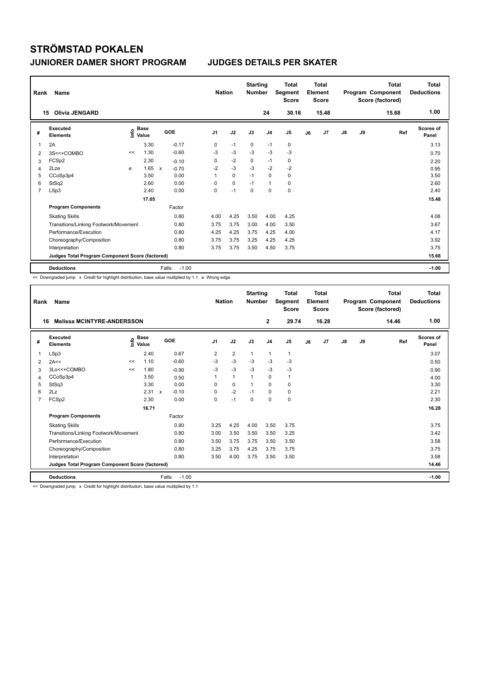| Rank           | Name                                            |      |                      |                           |                   | <b>Nation</b>  |             | <b>Starting</b><br><b>Number</b> |                | <b>Total</b><br>Segment<br><b>Score</b> |    | <b>Total</b><br>Element<br><b>Score</b> |               |    | <b>Total</b><br>Program Component<br>Score (factored) | <b>Total</b><br><b>Deductions</b> |
|----------------|-------------------------------------------------|------|----------------------|---------------------------|-------------------|----------------|-------------|----------------------------------|----------------|-----------------------------------------|----|-----------------------------------------|---------------|----|-------------------------------------------------------|-----------------------------------|
|                | <b>Olivia JENGARD</b><br>15                     |      |                      |                           |                   |                |             |                                  | 24             | 30.16                                   |    | 15.48                                   |               |    | 15.68                                                 | 1.00                              |
| #              | Executed<br><b>Elements</b>                     | ١nfo | <b>Base</b><br>Value |                           | GOE               | J <sub>1</sub> | J2          | J3                               | J <sub>4</sub> | J5                                      | J6 | J7                                      | $\mathsf{J}8$ | J9 | Ref                                                   | <b>Scores of</b><br>Panel         |
| 1              | 2A                                              |      | 3.30                 |                           | $-0.17$           | 0              | $-1$        | 0                                | $-1$           | $\mathbf 0$                             |    |                                         |               |    |                                                       | 3.13                              |
| 2              | 3S<<+COMBO                                      | <<   | 1.30                 |                           | $-0.60$           | $-3$           | $-3$        | $-3$                             | $-3$           | $-3$                                    |    |                                         |               |    |                                                       | 0.70                              |
| 3              | FCSp2                                           |      | 2.30                 |                           | $-0.10$           | 0              | $-2$        | 0                                | $-1$           | 0                                       |    |                                         |               |    |                                                       | 2.20                              |
| 4              | 2Lze                                            | e    | 1.65                 | $\boldsymbol{\mathsf{x}}$ | $-0.70$           | $-2$           | $-3$        | $-3$                             | $-2$           | $-2$                                    |    |                                         |               |    |                                                       | 0.95                              |
| 5              | CCoSp3p4                                        |      | 3.50                 |                           | 0.00              | 1              | $\mathbf 0$ | $-1$                             | $\mathbf 0$    | 0                                       |    |                                         |               |    |                                                       | 3.50                              |
| 6              | StSq2                                           |      | 2.60                 |                           | 0.00              | 0              | 0           | $-1$                             | $\mathbf{1}$   | 0                                       |    |                                         |               |    |                                                       | 2.60                              |
| $\overline{7}$ | LSp3                                            |      | 2.40                 |                           | 0.00              | 0              | $-1$        | $\mathbf 0$                      | $\mathbf 0$    | $\mathbf 0$                             |    |                                         |               |    |                                                       | 2.40                              |
|                |                                                 |      | 17.05                |                           |                   |                |             |                                  |                |                                         |    |                                         |               |    |                                                       | 15.48                             |
|                | <b>Program Components</b>                       |      |                      |                           | Factor            |                |             |                                  |                |                                         |    |                                         |               |    |                                                       |                                   |
|                | <b>Skating Skills</b>                           |      |                      |                           | 0.80              | 4.00           | 4.25        | 3.50                             | 4.00           | 4.25                                    |    |                                         |               |    |                                                       | 4.08                              |
|                | Transitions/Linking Footwork/Movement           |      |                      |                           | 0.80              | 3.75           | 3.75        | 3.00                             | 4.00           | 3.50                                    |    |                                         |               |    |                                                       | 3.67                              |
|                | Performance/Execution                           |      |                      |                           | 0.80              | 4.25           | 4.25        | 3.75                             | 4.25           | 4.00                                    |    |                                         |               |    |                                                       | 4.17                              |
|                | Choreography/Composition                        |      |                      |                           | 0.80              | 3.75           | 3.75        | 3.25                             | 4.25           | 4.25                                    |    |                                         |               |    |                                                       | 3.92                              |
|                | Interpretation                                  |      |                      |                           | 0.80              | 3.75           | 3.75        | 3.50                             | 4.50           | 3.75                                    |    |                                         |               |    |                                                       | 3.75                              |
|                | Judges Total Program Component Score (factored) |      |                      |                           |                   |                |             |                                  |                |                                         |    |                                         |               |    |                                                       | 15.68                             |
|                | <b>Deductions</b>                               |      |                      |                           | $-1.00$<br>Falls: |                |             |                                  |                |                                         |    |                                         |               |    |                                                       | $-1.00$                           |

 $\leq$  Downgraded jump  $\bar{x}$  Credit for highlight distribution, base value multiplied by 1.1 e Wrong edge

| Rank           | Name                                            |    |                                             |                           |         | <b>Nation</b>  |                | <b>Starting</b><br><b>Number</b> |                | <b>Total</b><br>Segment<br><b>Score</b> |    | <b>Total</b><br>Element<br><b>Score</b> |               |    | <b>Total</b><br>Program Component<br>Score (factored) | <b>Total</b><br><b>Deductions</b> |
|----------------|-------------------------------------------------|----|---------------------------------------------|---------------------------|---------|----------------|----------------|----------------------------------|----------------|-----------------------------------------|----|-----------------------------------------|---------------|----|-------------------------------------------------------|-----------------------------------|
|                | <b>Melissa MCINTYRE-ANDERSSON</b><br>16         |    |                                             |                           |         |                |                |                                  | $\mathbf{2}$   | 29.74                                   |    | 16.28                                   |               |    | 14.46                                                 | 1.00                              |
| #              | Executed<br><b>Elements</b>                     |    | <b>Base</b><br>e <sup>Base</sup><br>⊆ Value | GOE                       |         | J <sub>1</sub> | J2             | J3                               | J <sub>4</sub> | J5                                      | J6 | J7                                      | $\mathsf{J}8$ | J9 | Ref                                                   | Scores of<br>Panel                |
| 1              | LSp3                                            |    | 2.40                                        |                           | 0.67    | 2              | $\overline{2}$ | $\mathbf{1}$                     | $\mathbf{1}$   | $\mathbf{1}$                            |    |                                         |               |    |                                                       | 3.07                              |
| 2              | 2A<<                                            | << | 1.10                                        |                           | $-0.60$ | $-3$           | -3             | $-3$                             | $-3$           | $-3$                                    |    |                                         |               |    |                                                       | 0.50                              |
| 3              | 3Lo<<+COMBO                                     | << | 1.80                                        |                           | $-0.90$ | $-3$           | $-3$           | $-3$                             | $-3$           | $-3$                                    |    |                                         |               |    |                                                       | 0.90                              |
| 4              | CCoSp3p4                                        |    | 3.50                                        |                           | 0.50    | 1              | $\mathbf{1}$   | 1                                | 0              | 1                                       |    |                                         |               |    |                                                       | 4.00                              |
| 5              | StSq3                                           |    | 3.30                                        |                           | 0.00    | $\Omega$       | 0              | 1                                | $\Omega$       | 0                                       |    |                                         |               |    |                                                       | 3.30                              |
| 6              | 2Lz                                             |    | 2.31                                        | $\boldsymbol{\mathsf{x}}$ | $-0.10$ | 0              | $-2$           | $-1$                             | $\mathbf 0$    | 0                                       |    |                                         |               |    |                                                       | 2.21                              |
| $\overline{7}$ | FCSp2                                           |    | 2.30                                        |                           | 0.00    | $\Omega$       | $-1$           | $\Omega$                         | 0              | 0                                       |    |                                         |               |    |                                                       | 2.30                              |
|                |                                                 |    | 16.71                                       |                           |         |                |                |                                  |                |                                         |    |                                         |               |    |                                                       | 16.28                             |
|                | <b>Program Components</b>                       |    |                                             |                           | Factor  |                |                |                                  |                |                                         |    |                                         |               |    |                                                       |                                   |
|                | <b>Skating Skills</b>                           |    |                                             |                           | 0.80    | 3.25           | 4.25           | 4.00                             | 3.50           | 3.75                                    |    |                                         |               |    |                                                       | 3.75                              |
|                | Transitions/Linking Footwork/Movement           |    |                                             |                           | 0.80    | 3.00           | 3.50           | 3.50                             | 3.50           | 3.25                                    |    |                                         |               |    |                                                       | 3.42                              |
|                | Performance/Execution                           |    |                                             |                           | 0.80    | 3.50           | 3.75           | 3.75                             | 3.50           | 3.50                                    |    |                                         |               |    |                                                       | 3.58                              |
|                | Choreography/Composition                        |    |                                             |                           | 0.80    | 3.25           | 3.75           | 4.25                             | 3.75           | 3.75                                    |    |                                         |               |    |                                                       | 3.75                              |
|                | Interpretation                                  |    |                                             |                           | 0.80    | 3.50           | 4.00           | 3.75                             | 3.50           | 3.50                                    |    |                                         |               |    |                                                       | 3.58                              |
|                | Judges Total Program Component Score (factored) |    |                                             |                           |         |                |                |                                  |                |                                         |    |                                         |               |    |                                                       | 14.46                             |
|                | <b>Deductions</b>                               |    |                                             | Falls:                    | $-1.00$ |                |                |                                  |                |                                         |    |                                         |               |    |                                                       | $-1.00$                           |

<< Downgraded jump x Credit for highlight distribution, base value multiplied by 1.1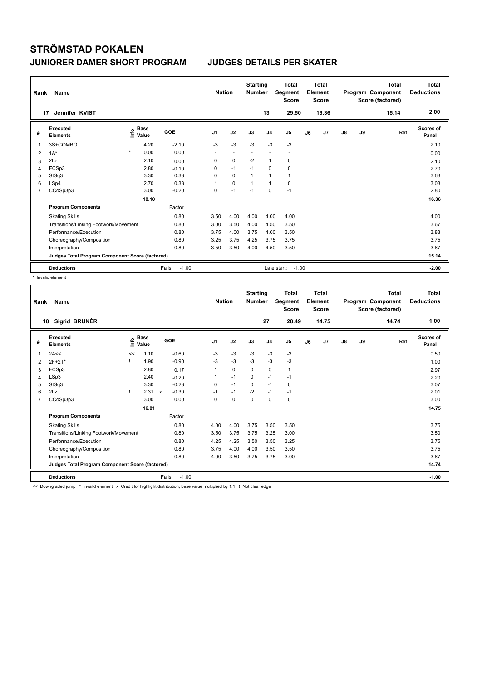| Rank | Name                                            |                   |             |                   | <b>Nation</b>            |                          | <b>Starting</b><br><b>Number</b> |                | <b>Total</b><br>Segment<br><b>Score</b> |    | <b>Total</b><br>Element<br><b>Score</b> |    |    | <b>Total</b><br>Program Component<br>Score (factored) | <b>Total</b><br><b>Deductions</b> |
|------|-------------------------------------------------|-------------------|-------------|-------------------|--------------------------|--------------------------|----------------------------------|----------------|-----------------------------------------|----|-----------------------------------------|----|----|-------------------------------------------------------|-----------------------------------|
| 17   | Jennifer KVIST                                  |                   |             |                   |                          |                          |                                  | 13             | 29.50                                   |    | 16.36                                   |    |    | 15.14                                                 | 2.00                              |
| #    | Executed<br><b>Elements</b>                     | e Base<br>⊆ Value | <b>Base</b> | GOE               | J <sub>1</sub>           | J2                       | J3                               | J <sub>4</sub> | J <sub>5</sub>                          | J6 | J7                                      | J8 | J9 | Ref                                                   | <b>Scores of</b><br>Panel         |
| 1    | 3S+COMBO                                        |                   | 4.20        | $-2.10$           | $-3$                     | $-3$                     | $-3$                             | $-3$           | $-3$                                    |    |                                         |    |    |                                                       | 2.10                              |
| 2    | $1A^*$                                          | $\star$           | 0.00        | 0.00              | $\overline{\phantom{a}}$ | $\overline{\phantom{a}}$ | $\overline{\phantom{a}}$         |                | -                                       |    |                                         |    |    |                                                       | 0.00                              |
| 3    | 2Lz                                             |                   | 2.10        | 0.00              | 0                        | $\mathbf 0$              | $-2$                             | $\overline{1}$ | $\mathbf 0$                             |    |                                         |    |    |                                                       | 2.10                              |
| 4    | FCSp3                                           |                   | 2.80        | $-0.10$           | 0                        | $-1$                     | $-1$                             | $\mathbf 0$    | $\mathbf 0$                             |    |                                         |    |    |                                                       | 2.70                              |
| 5    | StSq3                                           |                   | 3.30        | 0.33              | 0                        | $\mathbf 0$              | 1                                | $\overline{1}$ | $\mathbf{1}$                            |    |                                         |    |    |                                                       | 3.63                              |
| 6    | LSp4                                            |                   | 2.70        | 0.33              | 1                        | $\Omega$                 | $\overline{1}$                   | 1              | 0                                       |    |                                         |    |    |                                                       | 3.03                              |
| 7    | CCoSp3p3                                        |                   | 3.00        | $-0.20$           | 0                        | $-1$                     | $-1$                             | 0              | $-1$                                    |    |                                         |    |    |                                                       | 2.80                              |
|      |                                                 |                   | 18.10       |                   |                          |                          |                                  |                |                                         |    |                                         |    |    |                                                       | 16.36                             |
|      | <b>Program Components</b>                       |                   |             | Factor            |                          |                          |                                  |                |                                         |    |                                         |    |    |                                                       |                                   |
|      | <b>Skating Skills</b>                           |                   |             | 0.80              | 3.50                     | 4.00                     | 4.00                             | 4.00           | 4.00                                    |    |                                         |    |    |                                                       | 4.00                              |
|      | Transitions/Linking Footwork/Movement           |                   |             | 0.80              | 3.00                     | 3.50                     | 4.00                             | 4.50           | 3.50                                    |    |                                         |    |    |                                                       | 3.67                              |
|      | Performance/Execution                           |                   |             | 0.80              | 3.75                     | 4.00                     | 3.75                             | 4.00           | 3.50                                    |    |                                         |    |    |                                                       | 3.83                              |
|      | Choreography/Composition                        |                   |             | 0.80              | 3.25                     | 3.75                     | 4.25                             | 3.75           | 3.75                                    |    |                                         |    |    |                                                       | 3.75                              |
|      | Interpretation                                  |                   |             | 0.80              | 3.50                     | 3.50                     | 4.00                             | 4.50           | 3.50                                    |    |                                         |    |    |                                                       | 3.67                              |
|      | Judges Total Program Component Score (factored) |                   |             |                   |                          |                          |                                  |                |                                         |    |                                         |    |    |                                                       | 15.14                             |
|      | <b>Deductions</b>                               |                   |             | $-1.00$<br>Falls: |                          |                          |                                  | Late start:    | $-1.00$                                 |    |                                         |    |    |                                                       | $-2.00$                           |

\* Invalid element

| Rank | <b>Name</b>                                     |      |               |        |         | <b>Nation</b>  |      | <b>Starting</b><br><b>Number</b> |                | <b>Total</b><br>Segment<br><b>Score</b> |    | <b>Total</b><br>Element<br><b>Score</b> |               |    | <b>Total</b><br>Program Component<br>Score (factored) | <b>Total</b><br><b>Deductions</b> |
|------|-------------------------------------------------|------|---------------|--------|---------|----------------|------|----------------------------------|----------------|-----------------------------------------|----|-----------------------------------------|---------------|----|-------------------------------------------------------|-----------------------------------|
|      | Sigrid BRUNÉR<br>18                             |      |               |        |         |                |      |                                  | 27             | 28.49                                   |    | 14.75                                   |               |    | 14.74                                                 | 1.00                              |
| #    | Executed<br><b>Elements</b>                     | lnfo | Base<br>Value | GOE    |         | J <sub>1</sub> | J2   | J3                               | J <sub>4</sub> | J5                                      | J6 | J7                                      | $\mathsf{J}8$ | J9 | Ref                                                   | <b>Scores of</b><br>Panel         |
| 1    | 2A<<                                            | <<   | 1.10          |        | $-0.60$ | $-3$           | $-3$ | $-3$                             | $-3$           | $-3$                                    |    |                                         |               |    |                                                       | 0.50                              |
| 2    | 2F+2T*                                          |      | 1.90          |        | $-0.90$ | $-3$           | $-3$ | $-3$                             | $-3$           | $-3$                                    |    |                                         |               |    |                                                       | 1.00                              |
| 3    | FCSp3                                           |      | 2.80          |        | 0.17    | 1              | 0    | 0                                | 0              | 1                                       |    |                                         |               |    |                                                       | 2.97                              |
| 4    | LSp3                                            |      | 2.40          |        | $-0.20$ |                | $-1$ | $\Omega$                         | $-1$           | $-1$                                    |    |                                         |               |    |                                                       | 2.20                              |
| 5    | StSq3                                           |      | 3.30          |        | $-0.23$ | 0              | $-1$ | $\Omega$                         | $-1$           | 0                                       |    |                                         |               |    |                                                       | 3.07                              |
| 6    | 2Lz                                             |      | 2.31 x        |        | $-0.30$ | $-1$           | $-1$ | $-2$                             | $-1$           | $-1$                                    |    |                                         |               |    |                                                       | 2.01                              |
| 7    | CCoSp3p3                                        |      | 3.00          |        | 0.00    | 0              | 0    | $\mathbf 0$                      | 0              | 0                                       |    |                                         |               |    |                                                       | 3.00                              |
|      |                                                 |      | 16.81         |        |         |                |      |                                  |                |                                         |    |                                         |               |    |                                                       | 14.75                             |
|      | <b>Program Components</b>                       |      |               |        | Factor  |                |      |                                  |                |                                         |    |                                         |               |    |                                                       |                                   |
|      | <b>Skating Skills</b>                           |      |               |        | 0.80    | 4.00           | 4.00 | 3.75                             | 3.50           | 3.50                                    |    |                                         |               |    |                                                       | 3.75                              |
|      | Transitions/Linking Footwork/Movement           |      |               |        | 0.80    | 3.50           | 3.75 | 3.75                             | 3.25           | 3.00                                    |    |                                         |               |    |                                                       | 3.50                              |
|      | Performance/Execution                           |      |               |        | 0.80    | 4.25           | 4.25 | 3.50                             | 3.50           | 3.25                                    |    |                                         |               |    |                                                       | 3.75                              |
|      | Choreography/Composition                        |      |               |        | 0.80    | 3.75           | 4.00 | 4.00                             | 3.50           | 3.50                                    |    |                                         |               |    |                                                       | 3.75                              |
|      | Interpretation                                  |      |               |        | 0.80    | 4.00           | 3.50 | 3.75                             | 3.75           | 3.00                                    |    |                                         |               |    |                                                       | 3.67                              |
|      | Judges Total Program Component Score (factored) |      |               |        |         |                |      |                                  |                |                                         |    |                                         |               |    |                                                       | 14.74                             |
|      | <b>Deductions</b>                               |      |               | Falls: | $-1.00$ |                |      |                                  |                |                                         |    |                                         |               |    |                                                       | $-1.00$                           |
|      |                                                 |      |               |        |         |                |      |                                  |                |                                         |    |                                         |               |    |                                                       |                                   |

Downgraded jump \* Invalid element x Credit for highlight distribution, base value multiplied by 1.1 ! Not clear edge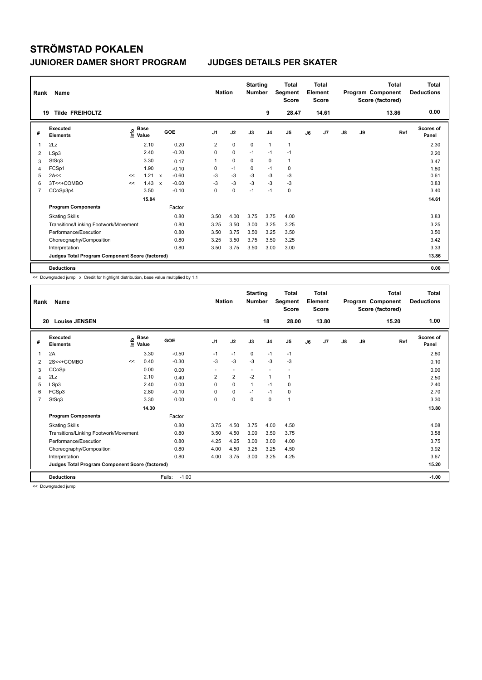| Rank           | Name                                            |    |                                  |              |         | <b>Nation</b>  |             | <b>Starting</b><br><b>Number</b> |                | <b>Total</b><br>Segment<br><b>Score</b> |    | <b>Total</b><br>Element<br><b>Score</b> |               |    | <b>Total</b><br>Program Component<br>Score (factored) | <b>Total</b><br><b>Deductions</b> |
|----------------|-------------------------------------------------|----|----------------------------------|--------------|---------|----------------|-------------|----------------------------------|----------------|-----------------------------------------|----|-----------------------------------------|---------------|----|-------------------------------------------------------|-----------------------------------|
|                | <b>Tilde FREIHOLTZ</b><br>19                    |    |                                  |              |         |                |             |                                  | 9              | 28.47                                   |    | 14.61                                   |               |    | 13.86                                                 | 0.00                              |
| #              | Executed<br><b>Elements</b>                     |    | <b>Base</b><br>e Base<br>E Value |              | GOE     | J <sub>1</sub> | J2          | J3                               | J <sub>4</sub> | J <sub>5</sub>                          | J6 | J <sub>7</sub>                          | $\mathsf{J}8$ | J9 | Ref                                                   | Scores of<br>Panel                |
| 1              | 2Lz                                             |    | 2.10                             |              | 0.20    | 2              | 0           | 0                                | $\mathbf{1}$   | $\mathbf{1}$                            |    |                                         |               |    |                                                       | 2.30                              |
| 2              | LSp3                                            |    | 2.40                             |              | $-0.20$ | 0              | $\mathbf 0$ | $-1$                             | $-1$           | $-1$                                    |    |                                         |               |    |                                                       | 2.20                              |
| 3              | StSq3                                           |    | 3.30                             |              | 0.17    |                | $\mathbf 0$ | 0                                | $\mathbf 0$    | $\mathbf{1}$                            |    |                                         |               |    |                                                       | 3.47                              |
| 4              | FCSp1                                           |    | 1.90                             |              | $-0.10$ | 0              | $-1$        | 0                                | $-1$           | 0                                       |    |                                         |               |    |                                                       | 1.80                              |
| 5              | 2A<<                                            | << | 1.21                             | $\mathbf{x}$ | $-0.60$ | -3             | $-3$        | -3                               | $-3$           | -3                                      |    |                                         |               |    |                                                       | 0.61                              |
| 6              | 3T<<+COMBO                                      | << | 1.43                             | $\mathsf{x}$ | $-0.60$ | $-3$           | $-3$        | $-3$                             | $-3$           | $-3$                                    |    |                                         |               |    |                                                       | 0.83                              |
| $\overline{7}$ | CCoSp3p4                                        |    | 3.50                             |              | $-0.10$ | 0              | $\mathbf 0$ | $-1$                             | $-1$           | $\mathbf 0$                             |    |                                         |               |    |                                                       | 3.40                              |
|                |                                                 |    | 15.84                            |              |         |                |             |                                  |                |                                         |    |                                         |               |    |                                                       | 14.61                             |
|                | <b>Program Components</b>                       |    |                                  |              | Factor  |                |             |                                  |                |                                         |    |                                         |               |    |                                                       |                                   |
|                | <b>Skating Skills</b>                           |    |                                  |              | 0.80    | 3.50           | 4.00        | 3.75                             | 3.75           | 4.00                                    |    |                                         |               |    |                                                       | 3.83                              |
|                | Transitions/Linking Footwork/Movement           |    |                                  |              | 0.80    | 3.25           | 3.50        | 3.00                             | 3.25           | 3.25                                    |    |                                         |               |    |                                                       | 3.25                              |
|                | Performance/Execution                           |    |                                  |              | 0.80    | 3.50           | 3.75        | 3.50                             | 3.25           | 3.50                                    |    |                                         |               |    |                                                       | 3.50                              |
|                | Choreography/Composition                        |    |                                  |              | 0.80    | 3.25           | 3.50        | 3.75                             | 3.50           | 3.25                                    |    |                                         |               |    |                                                       | 3.42                              |
|                | Interpretation                                  |    |                                  |              | 0.80    | 3.50           | 3.75        | 3.50                             | 3.00           | 3.00                                    |    |                                         |               |    |                                                       | 3.33                              |
|                | Judges Total Program Component Score (factored) |    |                                  |              |         |                |             |                                  |                |                                         |    |                                         |               |    |                                                       | 13.86                             |
|                | <b>Deductions</b>                               |    |                                  |              |         |                |             |                                  |                |                                         |    |                                         |               |    |                                                       | 0.00                              |

<< Downgraded jump x Credit for highlight distribution, base value multiplied by 1.1

| Rank           | Name                                            |    |                      |                   | <b>Nation</b>            |                | <b>Starting</b><br><b>Number</b> |                | <b>Total</b><br>Segment<br><b>Score</b> |    | Total<br>Element<br><b>Score</b> |               |    | <b>Total</b><br>Program Component<br>Score (factored) | <b>Total</b><br><b>Deductions</b> |
|----------------|-------------------------------------------------|----|----------------------|-------------------|--------------------------|----------------|----------------------------------|----------------|-----------------------------------------|----|----------------------------------|---------------|----|-------------------------------------------------------|-----------------------------------|
| 20             | <b>Louise JENSEN</b>                            |    |                      |                   |                          |                |                                  | 18             | 28.00                                   |    | 13.80                            |               |    | 15.20                                                 | 1.00                              |
| #              | Executed<br><b>Elements</b>                     | ۴٥ | <b>Base</b><br>Value | GOE               | J <sub>1</sub>           | J2             | J3                               | J <sub>4</sub> | J5                                      | J6 | J <sub>7</sub>                   | $\mathsf{J}8$ | J9 | Ref                                                   | <b>Scores of</b><br>Panel         |
| 1              | 2A                                              |    | 3.30                 | $-0.50$           | $-1$                     | $-1$           | 0                                | $-1$           | $-1$                                    |    |                                  |               |    |                                                       | 2.80                              |
| 2              | 2S<<+COMBO                                      | << | 0.40                 | $-0.30$           | $-3$                     | $-3$           | $-3$                             | $-3$           | $-3$                                    |    |                                  |               |    |                                                       | 0.10                              |
| 3              | CCoSp                                           |    | 0.00                 | 0.00              | $\overline{\phantom{a}}$ | $\sim$         | $\overline{\phantom{a}}$         |                |                                         |    |                                  |               |    |                                                       | 0.00                              |
| 4              | 2Lz                                             |    | 2.10                 | 0.40              | 2                        | $\overline{2}$ | $-2$                             | 1              | 1                                       |    |                                  |               |    |                                                       | 2.50                              |
| 5              | LSp3                                            |    | 2.40                 | 0.00              | 0                        | $\Omega$       | 1                                | $-1$           | 0                                       |    |                                  |               |    |                                                       | 2.40                              |
| 6              | FCSp3                                           |    | 2.80                 | $-0.10$           | 0                        | $\mathbf 0$    | $-1$                             | $-1$           | 0                                       |    |                                  |               |    |                                                       | 2.70                              |
| $\overline{7}$ | StSq3                                           |    | 3.30                 | 0.00              | $\Omega$                 | $\mathbf 0$    | $\mathbf 0$                      | $\mathbf 0$    | 1                                       |    |                                  |               |    |                                                       | 3.30                              |
|                |                                                 |    | 14.30                |                   |                          |                |                                  |                |                                         |    |                                  |               |    |                                                       | 13.80                             |
|                | <b>Program Components</b>                       |    |                      | Factor            |                          |                |                                  |                |                                         |    |                                  |               |    |                                                       |                                   |
|                | <b>Skating Skills</b>                           |    |                      | 0.80              | 3.75                     | 4.50           | 3.75                             | 4.00           | 4.50                                    |    |                                  |               |    |                                                       | 4.08                              |
|                | Transitions/Linking Footwork/Movement           |    |                      | 0.80              | 3.50                     | 4.50           | 3.00                             | 3.50           | 3.75                                    |    |                                  |               |    |                                                       | 3.58                              |
|                | Performance/Execution                           |    |                      | 0.80              | 4.25                     | 4.25           | 3.00                             | 3.00           | 4.00                                    |    |                                  |               |    |                                                       | 3.75                              |
|                | Choreography/Composition                        |    |                      | 0.80              | 4.00                     | 4.50           | 3.25                             | 3.25           | 4.50                                    |    |                                  |               |    |                                                       | 3.92                              |
|                | Interpretation                                  |    |                      | 0.80              | 4.00                     | 3.75           | 3.00                             | 3.25           | 4.25                                    |    |                                  |               |    |                                                       | 3.67                              |
|                | Judges Total Program Component Score (factored) |    |                      |                   |                          |                |                                  |                |                                         |    |                                  |               |    |                                                       | 15.20                             |
|                | <b>Deductions</b>                               |    |                      | Falls:<br>$-1.00$ |                          |                |                                  |                |                                         |    |                                  |               |    |                                                       | $-1.00$                           |

<< Downgraded jump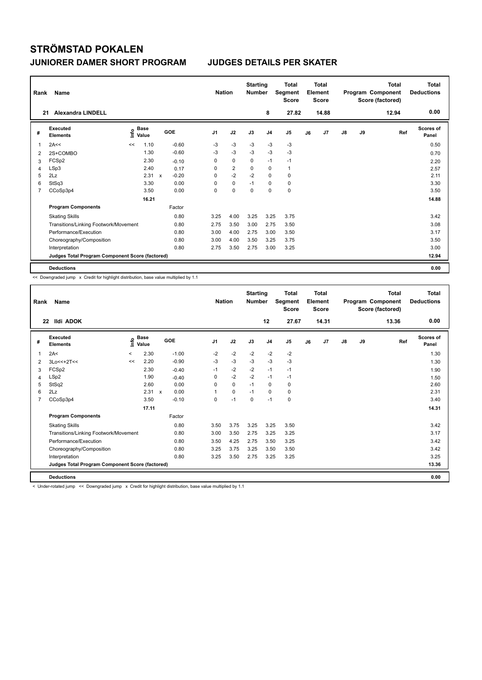| Rank           | Name                                            |      |                      |              |         | <b>Nation</b>  |                | <b>Starting</b><br><b>Number</b> |                | <b>Total</b><br>Segment<br><b>Score</b> |    | <b>Total</b><br>Element<br><b>Score</b> |               |    | Total<br>Program Component<br>Score (factored) | Total<br><b>Deductions</b> |
|----------------|-------------------------------------------------|------|----------------------|--------------|---------|----------------|----------------|----------------------------------|----------------|-----------------------------------------|----|-----------------------------------------|---------------|----|------------------------------------------------|----------------------------|
|                | <b>Alexandra LINDELL</b><br>21                  |      |                      |              |         |                |                |                                  | 8              | 27.82                                   |    | 14.88                                   |               |    | 12.94                                          | 0.00                       |
| #              | Executed<br><b>Elements</b>                     | Info | <b>Base</b><br>Value |              | GOE     | J <sub>1</sub> | J2             | J3                               | J <sub>4</sub> | J <sub>5</sub>                          | J6 | J7                                      | $\mathsf{J}8$ | J9 | Ref                                            | <b>Scores of</b><br>Panel  |
| $\overline{1}$ | 2A<<                                            | <<   | 1.10                 |              | $-0.60$ | -3             | $-3$           | -3                               | -3             | $-3$                                    |    |                                         |               |    |                                                | 0.50                       |
| 2              | 2S+COMBO                                        |      | 1.30                 |              | $-0.60$ | -3             | $-3$           | $-3$                             | $-3$           | $-3$                                    |    |                                         |               |    |                                                | 0.70                       |
| 3              | FCSp2                                           |      | 2.30                 |              | $-0.10$ | 0              | $\mathbf 0$    | 0                                | $-1$           | $-1$                                    |    |                                         |               |    |                                                | 2.20                       |
| 4              | LSp3                                            |      | 2.40                 |              | 0.17    | 0              | $\overline{2}$ | 0                                | $\mathbf 0$    | $\mathbf{1}$                            |    |                                         |               |    |                                                | 2.57                       |
| 5              | 2Lz                                             |      | 2.31                 | $\mathsf{x}$ | $-0.20$ | $\Omega$       | $-2$           | $-2$                             | $\mathbf 0$    | 0                                       |    |                                         |               |    |                                                | 2.11                       |
| 6              | StSq3                                           |      | 3.30                 |              | 0.00    | 0              | $\mathbf 0$    | $-1$                             | $\mathbf 0$    | 0                                       |    |                                         |               |    |                                                | 3.30                       |
| $\overline{7}$ | CCoSp3p4                                        |      | 3.50                 |              | 0.00    | 0              | $\mathbf 0$    | $\mathbf 0$                      | $\mathbf 0$    | $\mathbf 0$                             |    |                                         |               |    |                                                | 3.50                       |
|                |                                                 |      | 16.21                |              |         |                |                |                                  |                |                                         |    |                                         |               |    |                                                | 14.88                      |
|                | <b>Program Components</b>                       |      |                      |              | Factor  |                |                |                                  |                |                                         |    |                                         |               |    |                                                |                            |
|                | <b>Skating Skills</b>                           |      |                      |              | 0.80    | 3.25           | 4.00           | 3.25                             | 3.25           | 3.75                                    |    |                                         |               |    |                                                | 3.42                       |
|                | Transitions/Linking Footwork/Movement           |      |                      |              | 0.80    | 2.75           | 3.50           | 3.00                             | 2.75           | 3.50                                    |    |                                         |               |    |                                                | 3.08                       |
|                | Performance/Execution                           |      |                      |              | 0.80    | 3.00           | 4.00           | 2.75                             | 3.00           | 3.50                                    |    |                                         |               |    |                                                | 3.17                       |
|                | Choreography/Composition                        |      |                      |              | 0.80    | 3.00           | 4.00           | 3.50                             | 3.25           | 3.75                                    |    |                                         |               |    |                                                | 3.50                       |
|                | Interpretation                                  |      |                      |              | 0.80    | 2.75           | 3.50           | 2.75                             | 3.00           | 3.25                                    |    |                                         |               |    |                                                | 3.00                       |
|                | Judges Total Program Component Score (factored) |      |                      |              |         |                |                |                                  |                |                                         |    |                                         |               |    |                                                | 12.94                      |
|                | <b>Deductions</b>                               |      |                      |              |         |                |                |                                  |                |                                         |    |                                         |               |    |                                                | 0.00                       |

<< Downgraded jump x Credit for highlight distribution, base value multiplied by 1.1

| Rank | <b>Name</b>                                     |         |                    |         |                | <b>Nation</b> |      | <b>Starting</b><br><b>Number</b> |                | Segment | <b>Total</b><br><b>Score</b> |    | Total<br>Element<br><b>Score</b> |    |    | <b>Total</b><br>Program Component<br>Score (factored) | <b>Total</b><br><b>Deductions</b> |
|------|-------------------------------------------------|---------|--------------------|---------|----------------|---------------|------|----------------------------------|----------------|---------|------------------------------|----|----------------------------------|----|----|-------------------------------------------------------|-----------------------------------|
| 22   | <b>Ildi ADOK</b>                                |         |                    |         |                |               |      |                                  | 12             |         | 27.67                        |    | 14.31                            |    |    | 13.36                                                 | 0.00                              |
| #    | Executed<br><b>Elements</b>                     |         | $\frac{e}{2}$ Base | GOE     | J <sub>1</sub> |               | J2   | J3                               | J <sub>4</sub> | J5      |                              | J6 | J <sub>7</sub>                   | J8 | J9 | Ref                                                   | <b>Scores of</b><br>Panel         |
| 1    | 2A<                                             | $\,<\,$ | 2.30               | $-1.00$ | $-2$           |               | $-2$ | $-2$                             | $-2$           | $-2$    |                              |    |                                  |    |    |                                                       | 1.30                              |
| 2    | $3Lo<<+2T<<$                                    | <<      | 2.20               | $-0.90$ | $-3$           |               | $-3$ | $-3$                             | $-3$           | $-3$    |                              |    |                                  |    |    |                                                       | 1.30                              |
| 3    | FCSp2                                           |         | 2.30               | $-0.40$ | $-1$           |               | $-2$ | $-2$                             | $-1$           | $-1$    |                              |    |                                  |    |    |                                                       | 1.90                              |
| 4    | LSp2                                            |         | 1.90               | $-0.40$ | $\Omega$       |               | $-2$ | $-2$                             | $-1$           | $-1$    |                              |    |                                  |    |    |                                                       | 1.50                              |
| 5    | StSq2                                           |         | 2.60               | 0.00    | $\Omega$       |               | 0    | $-1$                             | 0              | 0       |                              |    |                                  |    |    |                                                       | 2.60                              |
| 6    | 2Lz                                             |         | 2.31 x             | 0.00    | 1              |               | 0    | $-1$                             | $\Omega$       | 0       |                              |    |                                  |    |    |                                                       | 2.31                              |
| 7    | CCoSp3p4                                        |         | 3.50               | $-0.10$ | $\Omega$       |               | $-1$ | $\Omega$                         | $-1$           | 0       |                              |    |                                  |    |    |                                                       | 3.40                              |
|      |                                                 |         | 17.11              |         |                |               |      |                                  |                |         |                              |    |                                  |    |    |                                                       | 14.31                             |
|      | <b>Program Components</b>                       |         |                    | Factor  |                |               |      |                                  |                |         |                              |    |                                  |    |    |                                                       |                                   |
|      | <b>Skating Skills</b>                           |         |                    | 0.80    | 3.50           |               | 3.75 | 3.25                             | 3.25           | 3.50    |                              |    |                                  |    |    |                                                       | 3.42                              |
|      | Transitions/Linking Footwork/Movement           |         |                    | 0.80    | 3.00           |               | 3.50 | 2.75                             | 3.25           | 3.25    |                              |    |                                  |    |    |                                                       | 3.17                              |
|      | Performance/Execution                           |         |                    | 0.80    | 3.50           |               | 4.25 | 2.75                             | 3.50           | 3.25    |                              |    |                                  |    |    |                                                       | 3.42                              |
|      | Choreography/Composition                        |         |                    | 0.80    | 3.25           |               | 3.75 | 3.25                             | 3.50           | 3.50    |                              |    |                                  |    |    |                                                       | 3.42                              |
|      | Interpretation                                  |         |                    | 0.80    | 3.25           |               | 3.50 | 2.75                             | 3.25           | 3.25    |                              |    |                                  |    |    |                                                       | 3.25                              |
|      | Judges Total Program Component Score (factored) |         |                    |         |                |               |      |                                  |                |         |                              |    |                                  |    |    |                                                       | 13.36                             |
|      | <b>Deductions</b>                               |         |                    |         |                |               |      |                                  |                |         |                              |    |                                  |    |    |                                                       | 0.00                              |

< Under-rotated jump << Downgraded jump x Credit for highlight distribution, base value multiplied by 1.1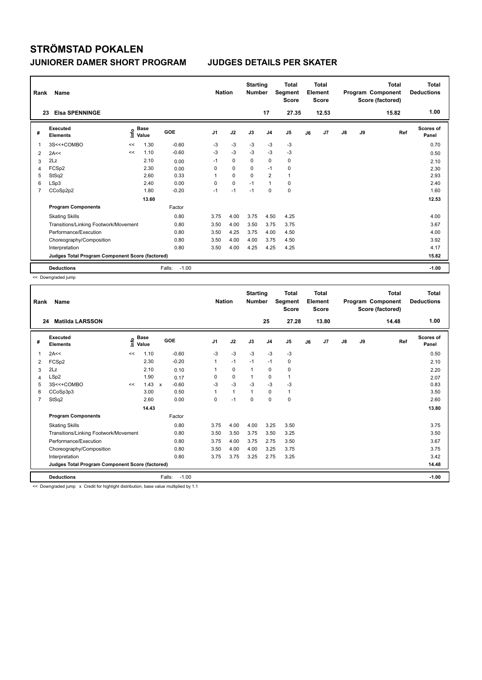| Rank           | Name                                            |      |                      |                   | <b>Nation</b>  |             | <b>Starting</b><br><b>Number</b> |                | Total<br>Segment<br><b>Score</b> |    | <b>Total</b><br>Element<br><b>Score</b> |               |    | <b>Total</b><br>Program Component<br>Score (factored) | Total<br><b>Deductions</b> |
|----------------|-------------------------------------------------|------|----------------------|-------------------|----------------|-------------|----------------------------------|----------------|----------------------------------|----|-----------------------------------------|---------------|----|-------------------------------------------------------|----------------------------|
| 23             | <b>Elsa SPENNINGE</b>                           |      |                      |                   |                |             |                                  | 17             | 27.35                            |    | 12.53                                   |               |    | 15.82                                                 | 1.00                       |
| #              | Executed<br><b>Elements</b>                     | ١nfo | <b>Base</b><br>Value | <b>GOE</b>        | J <sub>1</sub> | J2          | J3                               | J <sub>4</sub> | J <sub>5</sub>                   | J6 | J7                                      | $\mathsf{J}8$ | J9 | Ref                                                   | <b>Scores of</b><br>Panel  |
| $\mathbf 1$    | 3S<<+COMBO                                      | <<   | 1.30                 | $-0.60$           | -3             | $-3$        | $-3$                             | $-3$           | $-3$                             |    |                                         |               |    |                                                       | 0.70                       |
| 2              | 2A<<                                            | <<   | 1.10                 | $-0.60$           | $-3$           | $-3$        | $-3$                             | $-3$           | $-3$                             |    |                                         |               |    |                                                       | 0.50                       |
| 3              | 2Lz                                             |      | 2.10                 | 0.00              | $-1$           | $\mathbf 0$ | $\Omega$                         | $\mathbf 0$    | 0                                |    |                                         |               |    |                                                       | 2.10                       |
| 4              | FCSp2                                           |      | 2.30                 | 0.00              | 0              | $\mathbf 0$ | $\mathbf 0$                      | $-1$           | $\mathbf 0$                      |    |                                         |               |    |                                                       | 2.30                       |
| 5              | StSq2                                           |      | 2.60                 | 0.33              | 1              | $\mathbf 0$ | $\mathbf 0$                      | 2              | $\mathbf{1}$                     |    |                                         |               |    |                                                       | 2.93                       |
| 6              | LSp3                                            |      | 2.40                 | 0.00              | $\Omega$       | $\mathbf 0$ | $-1$                             | $\mathbf{1}$   | 0                                |    |                                         |               |    |                                                       | 2.40                       |
| $\overline{7}$ | CCoSp2p2                                        |      | 1.80                 | $-0.20$           | $-1$           | $-1$        | $-1$                             | $\mathbf 0$    | 0                                |    |                                         |               |    |                                                       | 1.60                       |
|                |                                                 |      | 13.60                |                   |                |             |                                  |                |                                  |    |                                         |               |    |                                                       | 12.53                      |
|                | <b>Program Components</b>                       |      |                      | Factor            |                |             |                                  |                |                                  |    |                                         |               |    |                                                       |                            |
|                | <b>Skating Skills</b>                           |      |                      | 0.80              | 3.75           | 4.00        | 3.75                             | 4.50           | 4.25                             |    |                                         |               |    |                                                       | 4.00                       |
|                | Transitions/Linking Footwork/Movement           |      |                      | 0.80              | 3.50           | 4.00        | 3.50                             | 3.75           | 3.75                             |    |                                         |               |    |                                                       | 3.67                       |
|                | Performance/Execution                           |      |                      | 0.80              | 3.50           | 4.25        | 3.75                             | 4.00           | 4.50                             |    |                                         |               |    |                                                       | 4.00                       |
|                | Choreography/Composition                        |      |                      | 0.80              | 3.50           | 4.00        | 4.00                             | 3.75           | 4.50                             |    |                                         |               |    |                                                       | 3.92                       |
|                | Interpretation                                  |      |                      | 0.80              | 3.50           | 4.00        | 4.25                             | 4.25           | 4.25                             |    |                                         |               |    |                                                       | 4.17                       |
|                | Judges Total Program Component Score (factored) |      |                      |                   |                |             |                                  |                |                                  |    |                                         |               |    |                                                       | 15.82                      |
|                | <b>Deductions</b>                               |      |                      | $-1.00$<br>Falls: |                |             |                                  |                |                                  |    |                                         |               |    |                                                       | $-1.00$                    |

<< Downgraded jump

| Rank           | Name                                            |      |                      |                   |                | <b>Nation</b> | <b>Starting</b><br><b>Number</b> |                | <b>Total</b><br>Segment<br><b>Score</b> |    | <b>Total</b><br>Element<br><b>Score</b> |               |    | <b>Total</b><br>Program Component<br>Score (factored) | Total<br><b>Deductions</b> |
|----------------|-------------------------------------------------|------|----------------------|-------------------|----------------|---------------|----------------------------------|----------------|-----------------------------------------|----|-----------------------------------------|---------------|----|-------------------------------------------------------|----------------------------|
|                | <b>Matilda LARSSON</b><br>24                    |      |                      |                   |                |               |                                  | 25             | 27.28                                   |    | 13.80                                   |               |    | 14.48                                                 | 1.00                       |
| #              | Executed<br><b>Elements</b>                     | ١nfo | <b>Base</b><br>Value | GOE               | J <sub>1</sub> | J2            | J3                               | J <sub>4</sub> | J5                                      | J6 | J7                                      | $\mathsf{J}8$ | J9 | Ref                                                   | <b>Scores of</b><br>Panel  |
| 1              | 2A<<                                            | <<   | 1.10                 | $-0.60$           | $-3$           | $-3$          | $-3$                             | $-3$           | $-3$                                    |    |                                         |               |    |                                                       | 0.50                       |
| 2              | FCSp2                                           |      | 2.30                 | $-0.20$           | 1              | $-1$          | $-1$                             | $-1$           | 0                                       |    |                                         |               |    |                                                       | 2.10                       |
| 3              | 2Lz                                             |      | 2.10                 | 0.10              |                | 0             | 1                                | 0              | 0                                       |    |                                         |               |    |                                                       | 2.20                       |
| 4              | LSp2                                            |      | 1.90                 | 0.17              | 0              | 0             | $\mathbf 1$                      | 0              | 1                                       |    |                                         |               |    |                                                       | 2.07                       |
| 5              | 3S<<+COMBO                                      | <<   | $1.43 \times$        | $-0.60$           | $-3$           | $-3$          | -3                               | $-3$           | $-3$                                    |    |                                         |               |    |                                                       | 0.83                       |
| 6              | CCoSp3p3                                        |      | 3.00                 | 0.50              | 1              | $\mathbf{1}$  | 1                                | 0              | 1                                       |    |                                         |               |    |                                                       | 3.50                       |
| $\overline{7}$ | StSq2                                           |      | 2.60                 | 0.00              | 0              | $-1$          | $\Omega$                         | 0              | 0                                       |    |                                         |               |    |                                                       | 2.60                       |
|                |                                                 |      | 14.43                |                   |                |               |                                  |                |                                         |    |                                         |               |    |                                                       | 13.80                      |
|                | <b>Program Components</b>                       |      |                      | Factor            |                |               |                                  |                |                                         |    |                                         |               |    |                                                       |                            |
|                | <b>Skating Skills</b>                           |      |                      | 0.80              | 3.75           | 4.00          | 4.00                             | 3.25           | 3.50                                    |    |                                         |               |    |                                                       | 3.75                       |
|                | Transitions/Linking Footwork/Movement           |      |                      | 0.80              | 3.50           | 3.50          | 3.75                             | 3.50           | 3.25                                    |    |                                         |               |    |                                                       | 3.50                       |
|                | Performance/Execution                           |      |                      | 0.80              | 3.75           | 4.00          | 3.75                             | 2.75           | 3.50                                    |    |                                         |               |    |                                                       | 3.67                       |
|                | Choreography/Composition                        |      |                      | 0.80              | 3.50           | 4.00          | 4.00                             | 3.25           | 3.75                                    |    |                                         |               |    |                                                       | 3.75                       |
|                | Interpretation                                  |      |                      | 0.80              | 3.75           | 3.75          | 3.25                             | 2.75           | 3.25                                    |    |                                         |               |    |                                                       | 3.42                       |
|                | Judges Total Program Component Score (factored) |      |                      |                   |                |               |                                  |                |                                         |    |                                         |               |    |                                                       | 14.48                      |
|                | <b>Deductions</b>                               |      |                      | Falls:<br>$-1.00$ |                |               |                                  |                |                                         |    |                                         |               |    |                                                       | $-1.00$                    |

<< Downgraded jump x Credit for highlight distribution, base value multiplied by 1.1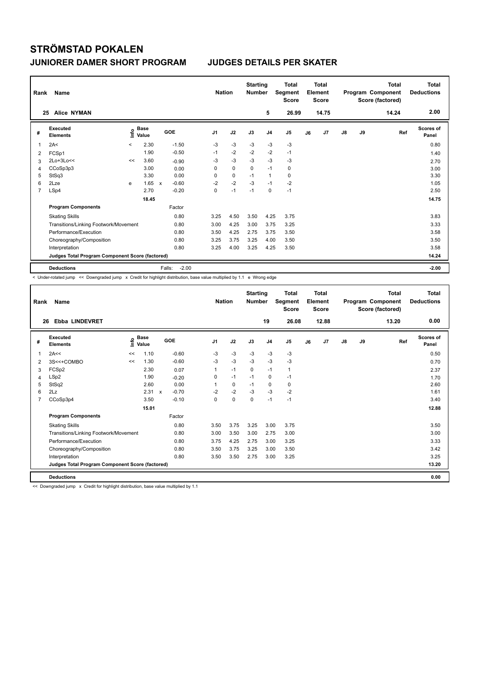| Rank | Name                                            |         | <b>Nation</b>                    |              | <b>Starting</b><br><b>Number</b> | <b>Total</b><br>Segment<br><b>Score</b> | <b>Total</b><br>Element<br><b>Score</b> |             | Program Component |             | <b>Total</b><br>Score (factored) | Total<br><b>Deductions</b> |               |      |       |                    |
|------|-------------------------------------------------|---------|----------------------------------|--------------|----------------------------------|-----------------------------------------|-----------------------------------------|-------------|-------------------|-------------|----------------------------------|----------------------------|---------------|------|-------|--------------------|
|      | <b>Alice NYMAN</b><br>25                        |         |                                  |              |                                  |                                         |                                         |             | 5                 | 26.99       |                                  | 14.75                      |               |      | 14.24 | 2.00               |
| #    | Executed<br><b>Elements</b>                     |         | <b>Base</b><br>e Base<br>⊆ Value |              | GOE                              | J <sub>1</sub>                          | J2                                      | J3          | J <sub>4</sub>    | J5          | J6                               | J7                         | $\mathsf{J}8$ | J9   | Ref   | Scores of<br>Panel |
| 1    | 2A<                                             | $\prec$ | 2.30                             |              | $-1.50$                          | $-3$                                    | $-3$                                    | $-3$        | $-3$              | $-3$        |                                  |                            |               |      |       | 0.80               |
| 2    | FCSp1                                           |         | 1.90                             |              | $-0.50$                          | $-1$                                    | $-2$                                    | $-2$        | $-2$              | $-1$        |                                  |                            |               |      |       | 1.40               |
| 3    | $2Lo+3Lo<<$                                     | <<      | 3.60                             |              | $-0.90$                          | $-3$                                    | $-3$                                    | $-3$        | $-3$              | $-3$        |                                  |                            |               |      |       | 2.70               |
| 4    | CCoSp3p3                                        |         | 3.00                             |              | 0.00                             | 0                                       | $\mathbf 0$                             | $\mathbf 0$ | $-1$              | $\mathbf 0$ |                                  |                            |               |      |       | 3.00               |
| 5    | StSq3                                           |         | 3.30                             |              | 0.00                             | 0                                       | $\mathbf 0$                             | $-1$        | $\mathbf{1}$      | $\mathbf 0$ |                                  |                            |               |      |       | 3.30               |
| 6    | 2Lze                                            | e       | 1.65                             | $\mathsf{x}$ | $-0.60$                          | $-2$                                    | $-2$                                    | $-3$        | $-1$              | $-2$        |                                  |                            |               |      |       | 1.05               |
| 7    | LSp4                                            |         | 2.70                             |              | $-0.20$                          | 0                                       | $-1$                                    | $-1$        | 0                 | $-1$        |                                  |                            |               |      |       | 2.50               |
|      |                                                 |         |                                  |              |                                  |                                         |                                         |             |                   |             |                                  | 14.75                      |               |      |       |                    |
|      | <b>Program Components</b>                       |         |                                  |              | Factor                           |                                         |                                         |             |                   |             |                                  |                            |               |      |       |                    |
|      | <b>Skating Skills</b>                           |         | 0.80                             | 3.25         | 4.50                             | 3.50                                    | 4.25                                    | 3.75        |                   |             |                                  |                            |               | 3.83 |       |                    |
|      | Transitions/Linking Footwork/Movement           |         | 0.80                             | 3.00         | 4.25                             | 3.00                                    | 3.75                                    | 3.25        |                   |             |                                  |                            |               | 3.33 |       |                    |
|      | Performance/Execution                           |         | 0.80                             | 3.50         | 4.25                             | 2.75                                    | 3.75                                    | 3.50        |                   |             |                                  |                            |               | 3.58 |       |                    |
|      | Choreography/Composition                        |         |                                  |              | 0.80                             | 3.25                                    | 3.75                                    | 3.25        | 4.00              | 3.50        |                                  |                            |               |      |       | 3.50               |
|      | Interpretation                                  |         |                                  |              | 0.80                             | 3.25                                    | 4.00                                    | 3.25        | 4.25              | 3.50        |                                  |                            |               |      |       | 3.58               |
|      | Judges Total Program Component Score (factored) |         |                                  |              |                                  |                                         |                                         |             |                   |             |                                  |                            |               |      |       | 14.24              |
|      | <b>Deductions</b>                               |         |                                  |              | $-2.00$<br>Falls:                |                                         |                                         |             |                   |             |                                  |                            |               |      |       | $-2.00$            |

< Under-rotated jump << Downgraded jump x Credit for highlight distribution, base value multiplied by 1.1 e Wrong edge

| Rank | Name                                            |                            | <b>Nation</b> |            | <b>Starting</b><br><b>Number</b> | <b>Total</b><br>Segment<br><b>Score</b> | <b>Total</b><br>Element<br><b>Score</b> |          |                |              | <b>Total</b><br>Program Component<br>Score (factored) | <b>Total</b><br><b>Deductions</b> |               |    |       |                           |
|------|-------------------------------------------------|----------------------------|---------------|------------|----------------------------------|-----------------------------------------|-----------------------------------------|----------|----------------|--------------|-------------------------------------------------------|-----------------------------------|---------------|----|-------|---------------------------|
| 26   | <b>Ebba LINDEVRET</b>                           |                            |               |            |                                  |                                         |                                         |          | 19             | 26.08        |                                                       | 12.88                             |               |    | 13.20 | 0.00                      |
| #    | Executed<br><b>Elements</b>                     | <b>Base</b><br>۴ô<br>Value |               | <b>GOE</b> |                                  | J1                                      | J2                                      | J3       | J <sub>4</sub> | J5           | J6                                                    | J7                                | $\mathsf{J}8$ | J9 | Ref   | <b>Scores of</b><br>Panel |
| 1    | 2A<<                                            | <<                         | 1.10          |            | $-0.60$                          | $-3$                                    | $-3$                                    | $-3$     | $-3$           | $-3$         |                                                       |                                   |               |    |       | 0.50                      |
| 2    | 3S<<+COMBO                                      | <<                         | 1.30          |            | $-0.60$                          | $-3$                                    | $-3$                                    | $-3$     | $-3$           | $-3$         |                                                       |                                   |               |    |       | 0.70                      |
| 3    | FCSp2                                           |                            | 2.30          |            | 0.07                             | 1                                       | $-1$                                    | 0        | $-1$           | $\mathbf{1}$ |                                                       |                                   |               |    |       | 2.37                      |
| 4    | LSp2                                            |                            | 1.90          |            | $-0.20$                          | 0                                       | $-1$                                    | $-1$     | $\Omega$       | $-1$         |                                                       |                                   |               |    |       | 1.70                      |
| 5    | StSq2                                           |                            | 2.60          |            | 0.00                             |                                         | 0                                       | $-1$     | 0              | 0            |                                                       |                                   |               |    |       | 2.60                      |
| 6    | 2Lz                                             |                            | 2.31 x        |            | $-0.70$                          | $-2$                                    | $-2$                                    | $-3$     | $-3$           | $-2$         |                                                       |                                   |               |    |       | 1.61                      |
| 7    | CCoSp3p4                                        |                            | 3.50          |            | $-0.10$                          | $\Omega$                                | $\mathbf 0$                             | $\Omega$ | $-1$           | $-1$         |                                                       |                                   |               |    |       | 3.40                      |
|      |                                                 |                            |               |            |                                  |                                         |                                         |          |                |              |                                                       | 12.88                             |               |    |       |                           |
|      | <b>Program Components</b>                       |                            |               |            | Factor                           |                                         |                                         |          |                |              |                                                       |                                   |               |    |       |                           |
|      | <b>Skating Skills</b>                           |                            |               |            | 0.80                             | 3.50                                    | 3.75                                    | 3.25     | 3.00           | 3.75         |                                                       |                                   |               |    |       | 3.50                      |
|      | Transitions/Linking Footwork/Movement           |                            |               |            |                                  | 3.00                                    | 3.50                                    | 3.00     | 2.75           | 3.00         |                                                       |                                   |               |    |       | 3.00                      |
|      | Performance/Execution                           |                            |               |            | 0.80                             | 3.75                                    | 4.25                                    | 2.75     | 3.00           | 3.25         |                                                       |                                   |               |    |       | 3.33                      |
|      | Choreography/Composition                        |                            |               |            | 0.80                             | 3.50                                    | 3.75                                    | 3.25     | 3.00           | 3.50         |                                                       |                                   |               |    |       | 3.42                      |
|      | Interpretation                                  |                            |               |            | 0.80                             | 3.50                                    | 3.50                                    | 2.75     | 3.00           | 3.25         |                                                       |                                   |               |    |       | 3.25                      |
|      | Judges Total Program Component Score (factored) |                            |               |            |                                  |                                         |                                         |          |                |              |                                                       |                                   |               |    |       | 13.20                     |
|      | <b>Deductions</b>                               |                            |               |            |                                  |                                         |                                         |          |                |              |                                                       |                                   |               |    |       | 0.00                      |

<< Downgraded jump x Credit for highlight distribution, base value multiplied by 1.1